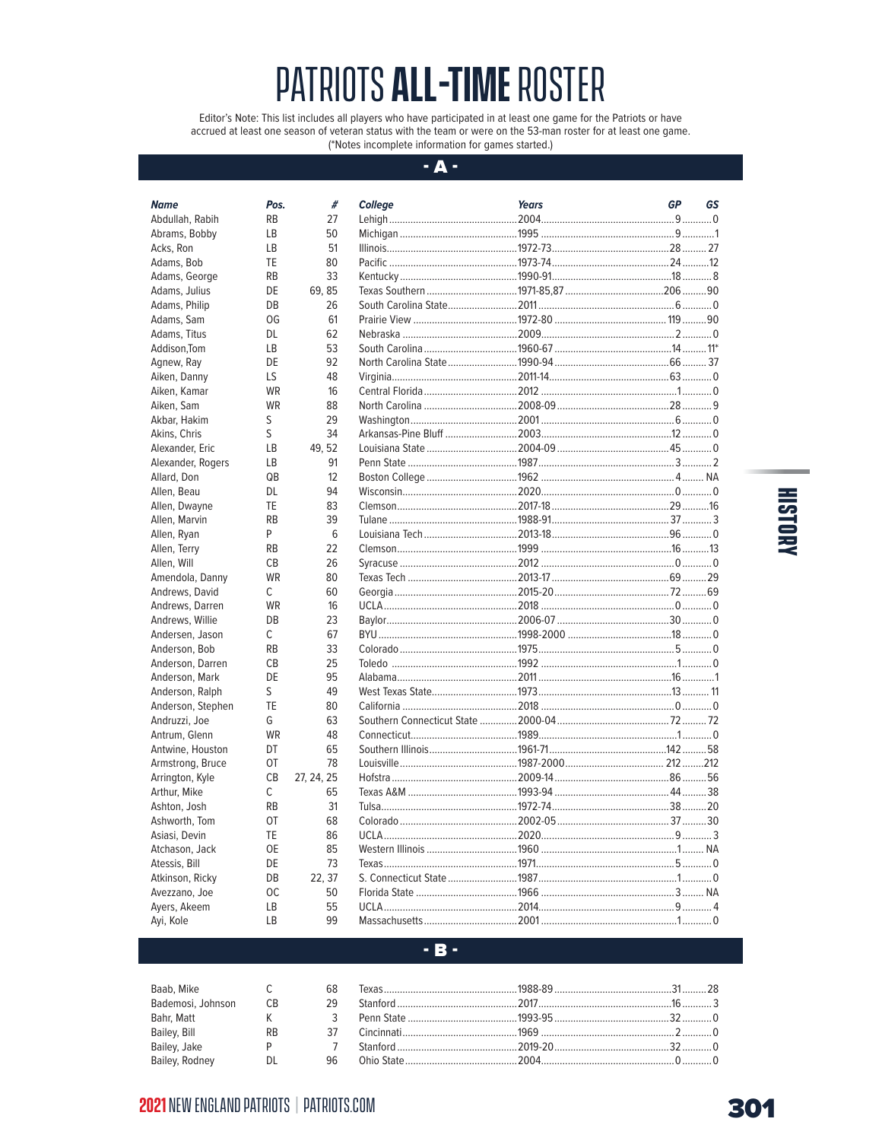Editor's Note: This list includes all players who have participated in at least one game for the Patriots or have accrued at least one season of veteran status with the team or were on the 53-man roster for at least one game. (\*Notes incomplete information for games started.)

#### $-$  A  $-$

| Name              | Pos.           | #          | <b>College</b> | <b>Years</b> | <b>GP</b> | GS |
|-------------------|----------------|------------|----------------|--------------|-----------|----|
| Abdullah, Rabih   | <b>RB</b>      | 27         |                |              |           |    |
| Abrams, Bobby     | LB             | 50         |                |              |           |    |
| Acks, Ron         | LB             | 51         |                |              |           |    |
| Adams, Bob        | TE             | 80         |                |              |           |    |
| Adams, George     | <b>RB</b>      | 33         |                |              |           |    |
| Adams, Julius     | DE             | 69.85      |                |              |           |    |
| Adams, Philip     | DB             | 26         |                |              |           |    |
| Adams, Sam        | 0G             | 61         |                |              |           |    |
| Adams, Titus      | DL             | 62         |                |              |           |    |
| Addison.Tom       | <b>LB</b>      | 53         |                |              |           |    |
| Agnew, Ray        | DE             | 92         |                |              |           |    |
| Aiken, Danny      | LS             | 48         |                |              |           |    |
| Aiken, Kamar      | <b>WR</b>      | 16         |                |              |           |    |
| Aiken, Sam        | <b>WR</b>      | 88         |                |              |           |    |
| Akbar, Hakim      | S              | 29         |                |              |           |    |
| Akins, Chris      | S              | 34         |                |              |           |    |
| Alexander, Eric   | LB             | 49.52      |                |              |           |    |
| Alexander, Rogers | LB             | 91         |                |              |           |    |
| Allard, Don       | QB             | 12         |                |              |           |    |
| Allen, Beau       | <b>DL</b>      | 94         |                |              |           |    |
| Allen, Dwayne     | TE             | 83         |                |              |           |    |
| Allen, Marvin     | <b>RB</b>      | 39         |                |              |           |    |
| Allen, Ryan       | P              | 6          |                |              |           |    |
| Allen, Terry      | <b>RB</b>      | 22         |                |              |           |    |
| Allen, Will       | <b>CB</b>      | 26         |                |              |           |    |
| Amendola, Danny   | <b>WR</b>      | 80         |                |              |           |    |
| Andrews, David    | C              | 60         |                |              |           |    |
| Andrews, Darren   | <b>WR</b>      | 16         |                |              |           |    |
| Andrews, Willie   | DB             | 23         |                |              |           |    |
| Andersen, Jason   | C              | 67         |                |              |           |    |
| Anderson, Bob     | <b>RB</b>      | 33         |                |              |           |    |
| Anderson, Darren  | C <sub>B</sub> | 25         |                |              |           |    |
| Anderson, Mark    | DE             | 95         |                |              |           |    |
| Anderson, Ralph   | S              | 49         |                |              |           |    |
| Anderson, Stephen | TE             | 80         |                |              |           |    |
| Andruzzi, Joe     | G              | 63         |                |              |           |    |
| Antrum, Glenn     | <b>WR</b>      | 48         |                |              |           |    |
| Antwine, Houston  | DT             | 65         |                |              |           |    |
| Armstrong, Bruce  | OT             | 78         |                |              |           |    |
| Arrington, Kyle   | CB             | 27, 24, 25 |                |              |           |    |
| Arthur, Mike      | C              | 65         |                |              |           |    |
| Ashton, Josh      | <b>RB</b>      | 31         |                |              |           |    |
| Ashworth, Tom     | <b>OT</b>      | 68         |                |              |           |    |
| Asiasi, Devin     | TE             | 86         |                |              |           |    |
| Atchason, Jack    | <b>OE</b>      | 85         |                |              |           |    |
| Atessis, Bill     | DE             | 73         |                |              |           |    |
| Atkinson, Ricky   | DB             | 22.37      |                |              |           |    |
| Avezzano, Joe     | ОC             | 50         |                |              |           |    |
| Ayers, Akeem      | LB             | 55         |                |              |           |    |
| Ayi, Kole         | LB             | 99         |                |              |           |    |

# **HISTORY**

**Contract Contract** 

### $\cdot$  B  $\cdot$

| Baab, Mike        |           | 68 |                     |  |
|-------------------|-----------|----|---------------------|--|
| Bademosi, Johnson | СB        | 29 |                     |  |
| Bahr, Matt        |           |    |                     |  |
| Bailey, Bill      | <b>RB</b> |    | Cincinnati $1969$ 0 |  |
| Bailey, Jake      |           |    | $2019-20$ 32 0      |  |
| Bailey, Rodney    | DL        | 96 |                     |  |

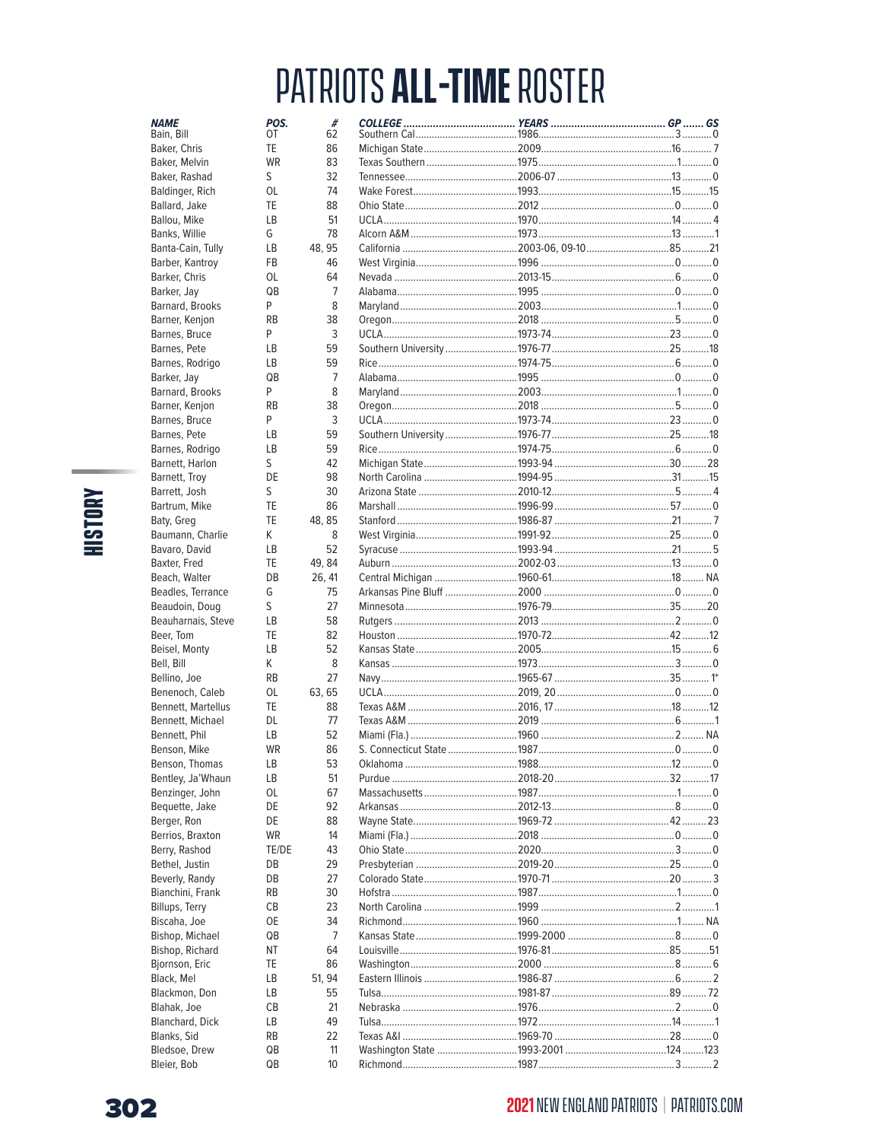| <b>NAME</b>                          | POS.      | #            |                                                           |  |
|--------------------------------------|-----------|--------------|-----------------------------------------------------------|--|
| Bain, Bill                           | OT        | 62           |                                                           |  |
| Baker, Chris                         | TE        | 86           |                                                           |  |
| Baker, Melvin                        | <b>WR</b> | 83           |                                                           |  |
| Baker, Rashad                        | S         | 32           |                                                           |  |
| Baldinger, Rich                      | 0L        | 74           |                                                           |  |
| Ballard, Jake                        | TE        | 88           |                                                           |  |
| Ballou, Mike                         | LB        | 51           |                                                           |  |
| Banks, Willie                        | G         | 78           |                                                           |  |
| Banta-Cain, Tully                    | LВ        | 48, 95       |                                                           |  |
| Barber, Kantroy                      | FB        | 46           |                                                           |  |
| Barker, Chris                        | 0L        | 64           |                                                           |  |
| Barker, Jay                          | QB        | 7            |                                                           |  |
| Barnard, Brooks                      | P         | 8            |                                                           |  |
| Barner, Kenjon                       | <b>RB</b> | 38           |                                                           |  |
| Barnes, Bruce                        | P         | 3            |                                                           |  |
| Barnes, Pete                         | LB        | 59           |                                                           |  |
| Barnes, Rodrigo                      | LВ        | 59           |                                                           |  |
| Barker, Jay                          | QB        | 7            |                                                           |  |
| Barnard, Brooks                      | P         | 8            |                                                           |  |
| Barner, Kenjon                       | <b>RB</b> | 38           |                                                           |  |
| Barnes, Bruce                        | P         | 3            |                                                           |  |
| Barnes, Pete                         | LB        | 59           |                                                           |  |
| Barnes, Rodrigo                      | LB        | 59           | Rice …………………………………………………1974-75…………………………………………………………………0 |  |
| Barnett, Harlon                      | S         | 42           |                                                           |  |
| Barnett, Troy                        | DE        | 98           |                                                           |  |
| Barrett, Josh                        | S         | 30           |                                                           |  |
| Bartrum, Mike                        | TE        | 86           |                                                           |  |
| Baty, Greg                           | TE        | 48, 85       |                                                           |  |
| Baumann, Charlie                     | K         | 8            |                                                           |  |
| Bavaro, David                        | LB        | 52           |                                                           |  |
| Baxter, Fred                         | TE        | 49, 84       |                                                           |  |
| Beach, Walter                        | DB        | 26, 41       |                                                           |  |
| Beadles, Terrance                    | G         | 75           |                                                           |  |
| Beaudoin, Doug                       | S         | 27           |                                                           |  |
| Beauharnais, Steve                   | LВ        | 58           |                                                           |  |
| Beer, Tom                            | TE        | 82           |                                                           |  |
| Beisel, Monty                        | <b>LB</b> | 52           |                                                           |  |
| Bell, Bill                           | K         | 8            |                                                           |  |
| Bellino, Joe                         | <b>RB</b> | 27           |                                                           |  |
| Benenoch, Caleb                      | 0L<br>TE  | 63, 65<br>88 |                                                           |  |
| Bennett, Martellus                   |           | 77           |                                                           |  |
| Bennett, Michael                     | DL<br>LВ  | 52           |                                                           |  |
| Bennett, Phil                        | <b>WR</b> | 86           |                                                           |  |
| Benson, Mike                         |           |              |                                                           |  |
| Benson, Thomas                       | ГR<br>LB  | 53<br>51     |                                                           |  |
| Bentley, Ja'Whaun<br>Benzinger, John | OL        | 67           |                                                           |  |
| Bequette, Jake                       | DE        | 92           |                                                           |  |
| Berger, Ron                          | DE        | 88           |                                                           |  |
| Berrios, Braxton                     | WR        | 14           |                                                           |  |
| Berry, Rashod                        | TE/DE     | 43           |                                                           |  |
| Bethel, Justin                       | DB        | 29           |                                                           |  |
| Beverly, Randy                       | DB        | 27           |                                                           |  |
| Bianchini, Frank                     | <b>RB</b> | 30           |                                                           |  |
| Billups, Terry                       | CВ        | 23           |                                                           |  |
| Biscaha, Joe                         | 0E        | 34           |                                                           |  |
| Bishop, Michael                      | QB        | 7            |                                                           |  |
| Bishop, Richard                      | ΝT        | 64           |                                                           |  |
| Bjornson, Eric                       | TE        | 86           |                                                           |  |
| Black, Mel                           | LВ        | 51, 94       |                                                           |  |
| Blackmon, Don                        | LВ        | 55           |                                                           |  |
| Blahak, Joe                          | СB        | 21           |                                                           |  |
| Blanchard, Dick                      | LB        | 49           |                                                           |  |
| Blanks, Sid                          | RB        | 22           |                                                           |  |
| Bledsoe, Drew                        | QB        | 11           |                                                           |  |
| Bleier, Bob                          | QB        | 10           |                                                           |  |
|                                      |           |              |                                                           |  |

# **HISTORY**

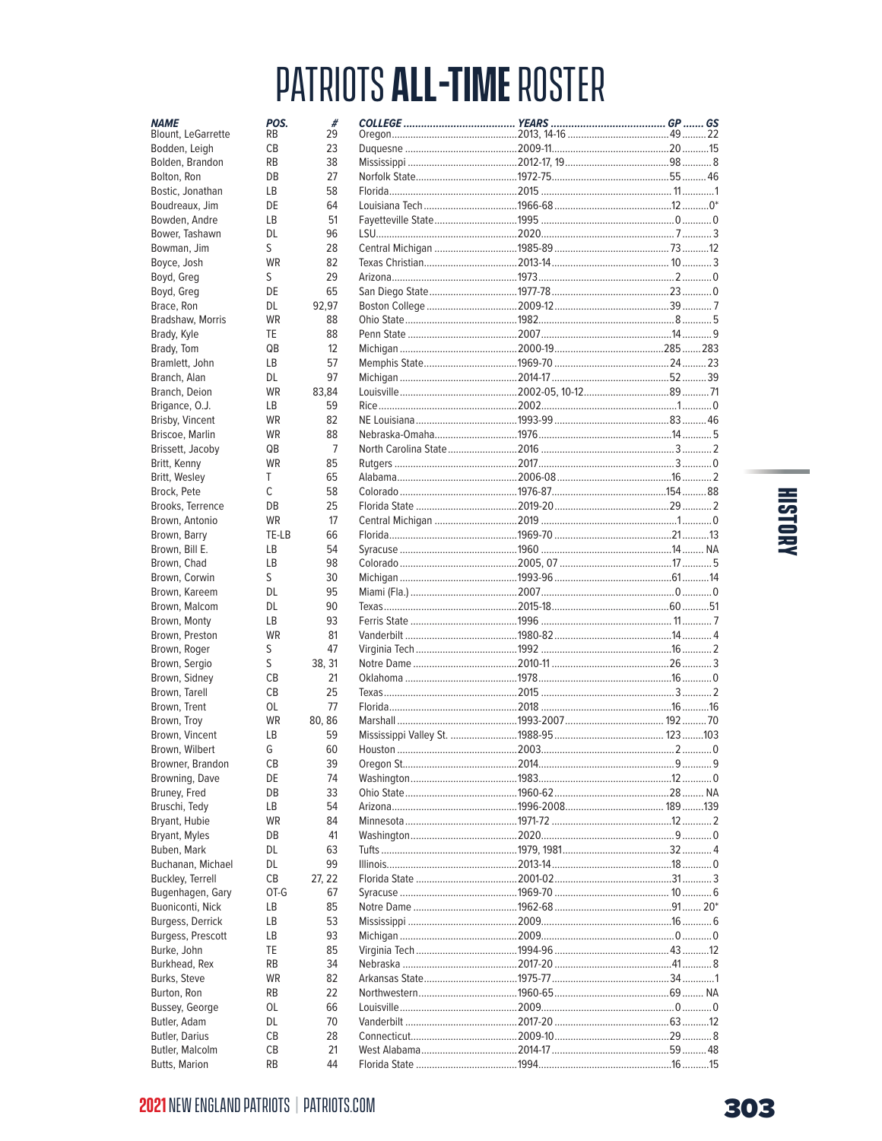| <b>NAME</b><br>Blount, LeGarrette | POS.<br><b>RB</b>    | #<br>29  |               |                                                            |    |        |
|-----------------------------------|----------------------|----------|---------------|------------------------------------------------------------|----|--------|
| Bodden, Leigh                     | СB                   | 23       |               |                                                            |    |        |
| Bolden, Brandon                   | <b>RB</b>            | 38       |               |                                                            |    |        |
| Bolton, Ron                       | DB                   | 27       |               |                                                            |    |        |
| Bostic, Jonathan                  | LB                   | 58       |               |                                                            |    |        |
| Boudreaux, Jim                    | DE                   | 64       |               |                                                            |    |        |
| Bowden, Andre                     | LB                   | 51       |               |                                                            |    |        |
| Bower, Tashawn                    | DL.                  | 96       |               |                                                            |    |        |
| Bowman, Jim                       | S                    | 28       |               |                                                            |    |        |
| Boyce, Josh                       | <b>WR</b>            | 82       |               |                                                            |    |        |
| Boyd, Greg                        | S                    | 29       |               |                                                            |    |        |
| Boyd, Greg                        | DE                   | 65       |               |                                                            |    |        |
| Brace, Ron                        | DL                   | 92,97    |               |                                                            |    |        |
| Bradshaw, Morris                  | <b>WR</b>            | 88       |               |                                                            |    |        |
|                                   | TE                   | 88       |               |                                                            |    |        |
| Brady, Kyle                       |                      |          |               |                                                            |    |        |
| Brady, Tom                        | QB<br><b>LB</b>      | 12<br>57 |               | Michigan ……………………………………………2000-19………………………………………285 ………283 |    |        |
| Bramlett, John                    |                      |          |               |                                                            |    |        |
| Branch, Alan                      | DL.                  | 97       |               |                                                            |    |        |
| Branch, Deion                     | <b>WR</b>            | 83,84    |               |                                                            |    |        |
| Brigance, O.J.                    | <b>LB</b>            | 59       |               |                                                            |    |        |
| Brisby, Vincent                   | <b>WR</b>            | 82       |               |                                                            |    |        |
| Briscoe, Marlin                   | <b>WR</b>            | 88       |               |                                                            |    |        |
| Brissett, Jacoby                  | QB                   | 7        |               |                                                            |    |        |
| Britt, Kenny                      | <b>WR</b>            | 85       |               |                                                            |    |        |
| Britt, Wesley                     | T.                   | 65       |               |                                                            |    |        |
| Brock, Pete                       | $\mathsf{C}$         | 58       |               |                                                            |    |        |
| Brooks, Terrence                  | DB                   | 25       |               |                                                            |    |        |
| Brown, Antonio                    | <b>WR</b>            | 17       |               |                                                            |    |        |
| Brown, Barry                      | TE-LB                | 66       |               |                                                            |    |        |
| Brown, Bill E.                    | LB                   | 54       |               |                                                            |    |        |
| Brown, Chad                       | LB                   | 98       |               |                                                            |    |        |
| Brown, Corwin                     | S                    | 30       |               |                                                            |    |        |
| Brown, Kareem                     | <b>DL</b>            | 95       |               |                                                            |    |        |
| Brown, Malcom                     | DL.                  | 90       |               |                                                            |    |        |
| Brown, Monty                      | LB                   | 93       |               |                                                            |    |        |
| Brown, Preston                    | <b>WR</b>            | 81       |               |                                                            |    |        |
| Brown, Roger                      | S                    | 47       |               |                                                            |    |        |
| Brown, Sergio                     | S                    | 38, 31   |               |                                                            |    |        |
| Brown, Sidney                     | СB                   | 21       |               |                                                            |    |        |
| Brown, Tarell                     | СB                   | 25       |               |                                                            |    |        |
| Brown, Trent                      | 0L                   | 77       |               |                                                            |    |        |
| Brown, Troy                       | <b>WR</b>            | 80, 86   |               |                                                            |    |        |
| Brown, Vincent                    | LB                   | 59       |               |                                                            |    |        |
| Brown, Wilbert                    | G                    | 60       |               |                                                            |    |        |
| Browner, Brandon                  | СB                   | 39       |               |                                                            |    |        |
| Browning, Dave                    | DE                   | 74       |               |                                                            |    |        |
| Bruney, Fred                      | DB                   | 33       |               |                                                            |    |        |
|                                   |                      | 54       |               |                                                            |    |        |
| Bruschi, Tedy                     | LВ                   | 84       |               |                                                            |    |        |
| Bryant, Hubie                     | WR                   |          |               |                                                            |    |        |
| Bryant, Myles                     | DB                   | 41       |               |                                                            |    |        |
| Buben, Mark                       | DL                   | 63       |               |                                                            |    |        |
| Buchanan, Michael                 | DL.                  | 99       |               |                                                            |    |        |
| <b>Buckley, Terrell</b>           | СB                   | 27, 22   |               |                                                            |    |        |
| Bugenhagen, Gary                  | OT-G                 | 67       |               |                                                            |    |        |
| Buoniconti, Nick                  | LВ                   | 85       |               |                                                            |    |        |
| Burgess, Derrick                  | LВ                   | 53       |               |                                                            |    |        |
| Burgess, Prescott                 | LB                   | 93       |               |                                                            |    |        |
| Burke, John                       | TE                   | 85       |               |                                                            |    |        |
| Burkhead, Rex                     | RB                   | 34       |               |                                                            |    |        |
| Burks, Steve                      | WR                   | 82       |               |                                                            |    |        |
| Burton, Ron                       | <b>RB</b>            | 22       |               |                                                            |    |        |
| Bussey, George                    | OL                   | 66       |               |                                                            |    |        |
| Butler, Adam                      | DL                   | 70       |               |                                                            |    |        |
| <b>Butler, Darius</b>             | СB                   | 28       |               |                                                            |    |        |
| Butler, Malcolm                   | СB                   | 21       |               |                                                            |    |        |
| <b>Rutts Marion</b>               | <b>R<sub>R</sub></b> | 44       | Florida State | 1994                                                       | 16 | $15 -$ |

# HISTORY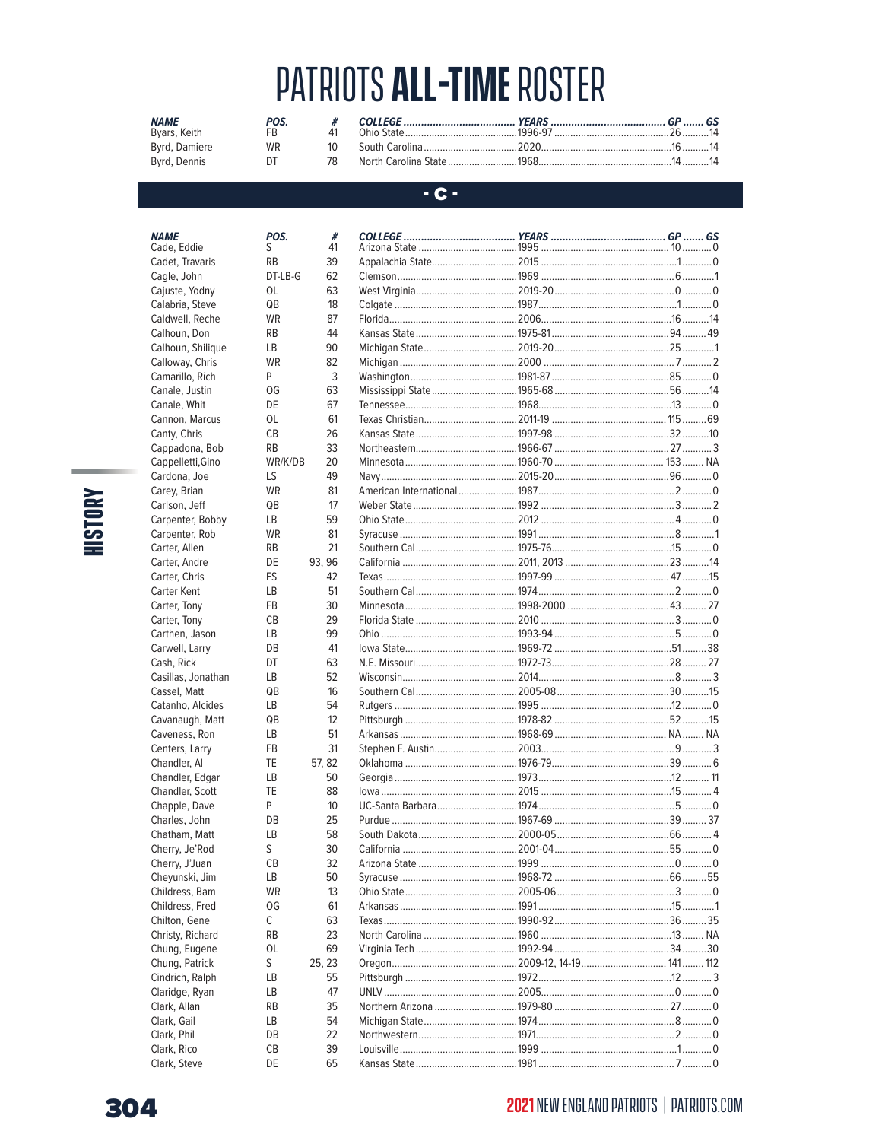| <b>NAME</b>   | POS. |          |                                         |  |
|---------------|------|----------|-----------------------------------------|--|
| Byars, Keith  |      |          |                                         |  |
| Byrd, Damiere | WR   | 1 $\cap$ | South Carolina 2020 2020 16 16 14       |  |
| Byrd, Dennis  | DΤ   |          | North Carolina State 1968 1968 14 14 14 |  |

#### $-$  C -

| <b>NAME</b>        | POS.      |
|--------------------|-----------|
| Cade, Eddie        | S         |
| Cadet, Travaris    | RB        |
| Cagle, John        | DT-LB-G   |
| Cajuste, Yodny     | OL        |
| Calabria, Steve    | QB        |
| Caldwell, Reche    | WR        |
| Calhoun, Don       | RB        |
| Calhoun, Shilique  | LВ        |
| Calloway, Chris    | WR        |
| Camarillo, Rich    | P         |
| Canale, Justin     | OG        |
| Canale, Whit       | DE        |
| Cannon, Marcus     | OL        |
| Canty, Chris       | СB        |
| Cappadona, Bob     | RB        |
| Cappelletti, Gino  | WR/K/DB   |
| Cardona, Joe       | LS        |
| Carey, Brian       | WR        |
| Carlson, Jeff      | QB        |
| Carpenter, Bobby   | LВ        |
| Carpenter, Rob     | WR        |
| Carter, Allen      | RB        |
| Carter, Andre      | DE        |
| Carter, Chris      | FS        |
| Carter Kent        | LB        |
| Carter, Tony       | FB        |
| Carter, Tony       | СB        |
| Carthen, Jason     | LВ        |
| Carwell, Larry     | DB        |
| Cash, Rick         | DT        |
| Casillas, Jonathan | LВ        |
| Cassel, Matt       | QB        |
| Catanho, Alcides   | LВ        |
| Cavanaugh, Matt    | QB        |
| Caveness, Ron      | LB        |
| Centers, Larry     | FB        |
| Chandler, Al       | TE        |
| Chandler, Edgar    | LΒ        |
| Chandler, Scott    | TE        |
| Chapple, Dave      | P         |
| Charles, John      | DB        |
| Chatham, Matt      | LΒ        |
| Cherry, Je'Rod     | S         |
| Cherry, J'Juan     | СB        |
| Cheyunski, Jim     | LВ        |
| Childress, Bam     | WR        |
| Childress, Fred    | OG        |
| Chilton, Gene      | С         |
| Christy, Richard   | <b>RB</b> |
| Chung, Eugene      | OL        |
| Chung, Patrick     | S         |
| Cindrich, Ralph    | LВ        |
| Claridge, Ryan     |           |
|                    | LВ<br>RB  |
| Clark, Allan       |           |
| Clark, Gail        | LВ        |
| Clark, Phil        | DB        |
| Clark, Rico        | CВ        |

DE

| #      |              |              |  |
|--------|--------------|--------------|--|
| 41     |              |              |  |
| 39     |              |              |  |
| 62     |              |              |  |
| 63     |              |              |  |
| 18     |              |              |  |
| 87     |              |              |  |
| 44     |              |              |  |
| 90     |              |              |  |
| 82     |              |              |  |
| 3      |              |              |  |
| 63     |              |              |  |
| 67     |              |              |  |
| 61     |              |              |  |
| 26     |              |              |  |
| 33     |              |              |  |
| 20     |              |              |  |
| 49     |              |              |  |
| 81     |              |              |  |
| 17     |              |              |  |
| 59     |              |              |  |
| 81     |              |              |  |
| 21     |              |              |  |
| 93.96  |              |              |  |
| 42     |              |              |  |
|        |              |              |  |
| 51     |              |              |  |
| 30     |              |              |  |
| 29     |              |              |  |
| 99     |              |              |  |
| 41     |              |              |  |
| 63     |              |              |  |
| 52     |              |              |  |
| 16     |              |              |  |
| 54     |              |              |  |
| 12     |              |              |  |
| 51     |              |              |  |
| 31     |              |              |  |
| 57, 82 |              |              |  |
| 50     |              |              |  |
| 88     |              |              |  |
| 10     |              |              |  |
| 25     |              |              |  |
| 58     |              |              |  |
| 30     |              |              |  |
| 32     |              |              |  |
| 50     |              |              |  |
| 13     |              |              |  |
| 61     |              |              |  |
| 63     |              |              |  |
| 23     |              |              |  |
| 69     |              |              |  |
| 25, 23 |              |              |  |
| 55     |              |              |  |
|        |              |              |  |
| 47     |              |              |  |
| 35     |              |              |  |
| 54     |              |              |  |
| 22     |              |              |  |
| 39     |              |              |  |
| 65     | Kansas State | $1981$ $7$ 0 |  |



Clark, Steve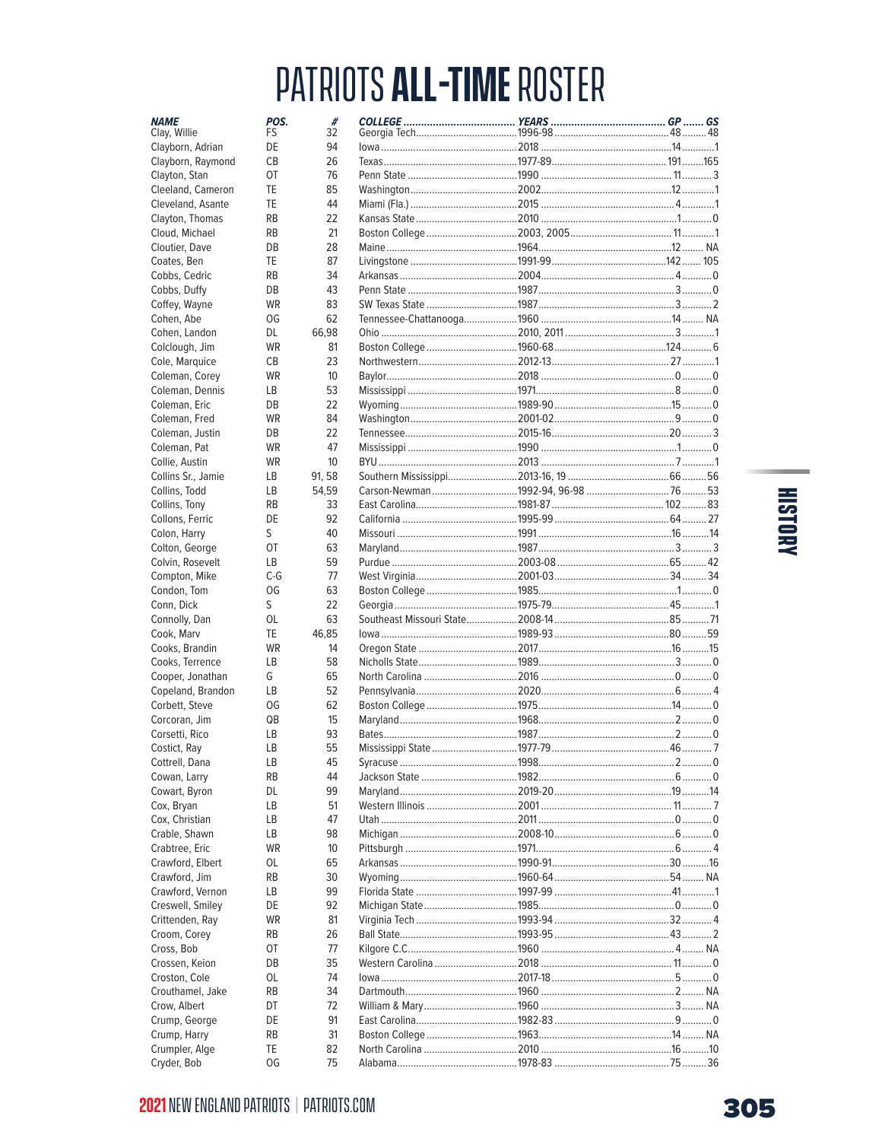| <b>NAME</b><br>Clay, Willie | POS.<br>FS | #<br>32  |                                                          |  |  |
|-----------------------------|------------|----------|----------------------------------------------------------|--|--|
| Clayborn, Adrian            | DE         | 94       |                                                          |  |  |
| Clayborn, Raymond           | СB         | 26       |                                                          |  |  |
| Clayton, Stan               | <b>OT</b>  | 76       |                                                          |  |  |
| Cleeland, Cameron           | TE         | 85       |                                                          |  |  |
| Cleveland, Asante           | TE         | 44       |                                                          |  |  |
| Clayton, Thomas             | <b>RB</b>  | 22       |                                                          |  |  |
| Cloud, Michael              | <b>RB</b>  | 21       |                                                          |  |  |
| Cloutier, Dave              | DB         | 28       |                                                          |  |  |
| Coates, Ben                 | TE         | 87       |                                                          |  |  |
|                             | <b>RB</b>  | 34       |                                                          |  |  |
| Cobbs, Cedric               | DB         | 43       |                                                          |  |  |
| Cobbs, Duffy                | <b>WR</b>  | 83       |                                                          |  |  |
| Coffey, Wayne               | OG         | 62       |                                                          |  |  |
| Cohen, Abe                  |            |          |                                                          |  |  |
| Cohen, Landon               | DL         | 66,98    |                                                          |  |  |
| Colclough, Jim              | <b>WR</b>  | 81       |                                                          |  |  |
| Cole, Marquice              | СB         | 23       |                                                          |  |  |
| Coleman, Corey              | <b>WR</b>  | 10       |                                                          |  |  |
| Coleman, Dennis             | LB         | 53       |                                                          |  |  |
| Coleman, Eric               | DB         | 22       |                                                          |  |  |
| Coleman, Fred               | <b>WR</b>  | 84       |                                                          |  |  |
| Coleman, Justin             | DB         | 22       |                                                          |  |  |
| Coleman, Pat                | <b>WR</b>  | 47       |                                                          |  |  |
| Collie, Austin              | WR         | 10       |                                                          |  |  |
| Collins Sr., Jamie          | LB         | 91, 58   |                                                          |  |  |
| Collins, Todd               | LB         | 54,59    |                                                          |  |  |
| Collins, Tony               | <b>RB</b>  | 33       |                                                          |  |  |
| Collons, Ferric             | DE         | 92       |                                                          |  |  |
| Colon, Harry                | S          | 40       |                                                          |  |  |
| Colton, George              | 0T         | 63       |                                                          |  |  |
| Colvin, Rosevelt            | LB         | 59       |                                                          |  |  |
| Compton, Mike               | $C-G$      | 77       |                                                          |  |  |
| Condon, Tom                 | OG         | 63       |                                                          |  |  |
| Conn, Dick                  | S          | 22       |                                                          |  |  |
| Connolly, Dan               | OL         | 63       |                                                          |  |  |
| Cook, Marv                  | TE         | 46,85    |                                                          |  |  |
| Cooks, Brandin              | <b>WR</b>  | 14       |                                                          |  |  |
| Cooks, Terrence             | LB         | 58       |                                                          |  |  |
| Cooper, Jonathan            | G          | 65       |                                                          |  |  |
| Copeland, Brandon           | LB         | 52       |                                                          |  |  |
| Corbett, Steve              | OG         | 62       |                                                          |  |  |
| Corcoran, Jim               | QB         | 15       |                                                          |  |  |
| Corsetti, Rico              | LB         | 93       |                                                          |  |  |
| Costict, Ray                | LB         | 55       |                                                          |  |  |
| Cottrell, Dana              | LВ         | 45       |                                                          |  |  |
| Cowan, Larry                | RB         | 44       |                                                          |  |  |
| Cowart, Byron               | DL         | 99       |                                                          |  |  |
| Cox, Bryan                  | LB         | 51       |                                                          |  |  |
| Cox, Christian              | LВ         | 47       |                                                          |  |  |
| Crable, Shawn               | LB         | 98       |                                                          |  |  |
| Crabtree, Eric              | WR         | 10       |                                                          |  |  |
| Crawford, Elbert            | OL         | 65       |                                                          |  |  |
|                             | <b>RB</b>  | 30       |                                                          |  |  |
| Crawford, Jim               | LВ         | 99       |                                                          |  |  |
| Crawford, Vernon            |            |          |                                                          |  |  |
| Creswell, Smiley            | DE         | 92<br>81 |                                                          |  |  |
| Crittenden, Ray             | WR         |          |                                                          |  |  |
| Croom, Corey                | RB         | 26       |                                                          |  |  |
| Cross, Bob                  | OT         | 77       |                                                          |  |  |
| Crossen, Keion              | DB         | 35       |                                                          |  |  |
| Croston, Cole               | 0L         | 74       | lowa ………………………………………………2017-18 ………………………………………………5 …………0 |  |  |
| Crouthamel, Jake            | <b>RB</b>  | 34       |                                                          |  |  |
| Crow, Albert                | DT         | 72       |                                                          |  |  |
| Crump, George               | DE         | 91       |                                                          |  |  |
| Crump, Harry                | <b>RB</b>  | 31       |                                                          |  |  |
| Crumpler, Alge              | TE         | 82       |                                                          |  |  |
| Cryder, Bob                 | OG         | 75       |                                                          |  |  |

# HISTORY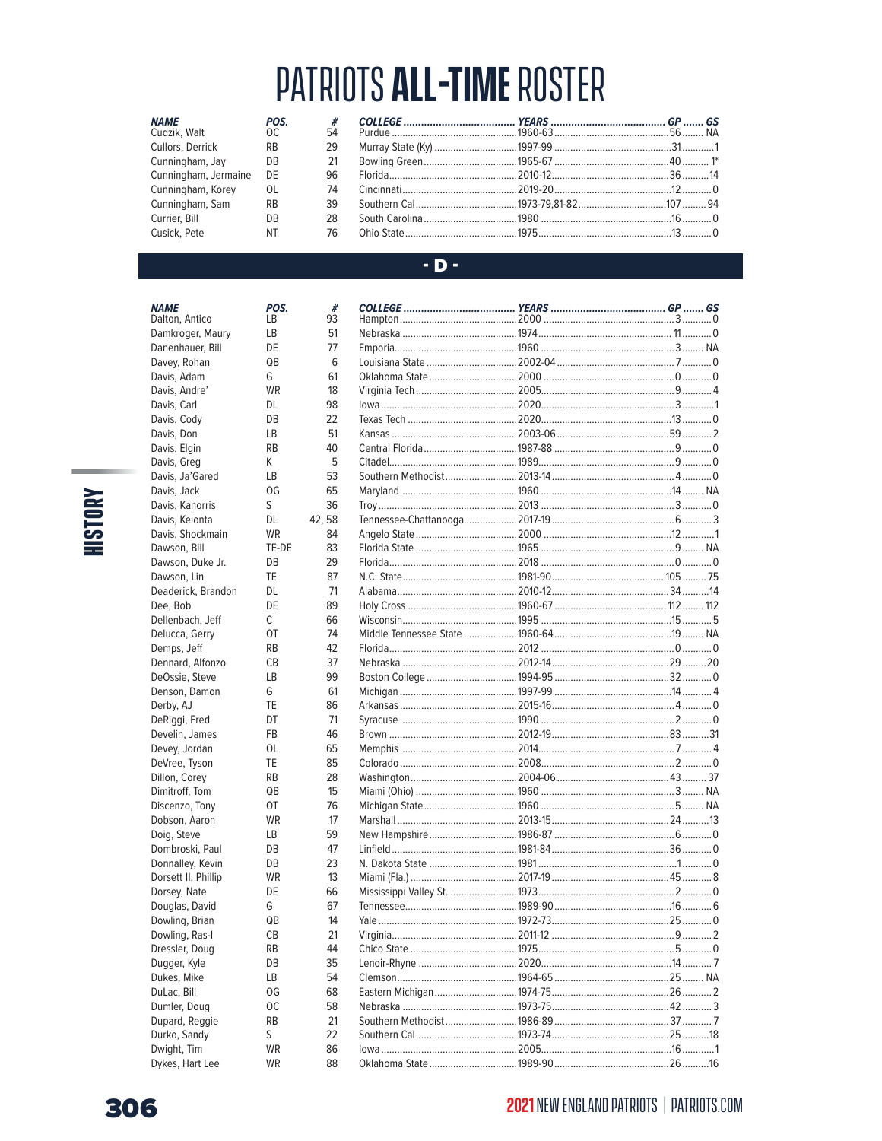| <b>NAME</b>          | POS.            | #  |  |  |
|----------------------|-----------------|----|--|--|
| Cudzik, Walt OC      |                 | 54 |  |  |
| Cullors, Derrick     | RB              | 29 |  |  |
| Cunningham, Jay      | DB              | 21 |  |  |
| Cunningham, Jermaine | DE              | 96 |  |  |
| Cunningham, Korey    | OL              | 74 |  |  |
| Cunningham, Sam      | <b>RB</b>       | 39 |  |  |
| Currier, Bill        | DB              | 28 |  |  |
| Cusick, Pete         | NT <sub>2</sub> | 76 |  |  |

#### $-D -$

| POS.<br>LB. | #<br>93 |                                                        |  |  |
|-------------|---------|--------------------------------------------------------|--|--|
| LB          | 51      |                                                        |  |  |
| DE          | 77      |                                                        |  |  |
| QB          | 6       |                                                        |  |  |
| G           | 61      |                                                        |  |  |
| <b>WR</b>   | 18      |                                                        |  |  |
| DL          | 98      |                                                        |  |  |
| DB          | 22      |                                                        |  |  |
| LВ          | 51      |                                                        |  |  |
| <b>RB</b>   | 40      |                                                        |  |  |
| K.          | 5       |                                                        |  |  |
|             | 53      |                                                        |  |  |
| LB          |         |                                                        |  |  |
| OG          | 65      |                                                        |  |  |
| S           | 36      |                                                        |  |  |
| DL          | 42, 58  |                                                        |  |  |
| WR          | 84      |                                                        |  |  |
| TE-DE       | 83      |                                                        |  |  |
| DB          | 29      |                                                        |  |  |
| TE          | 87      |                                                        |  |  |
| DL          | 71      |                                                        |  |  |
| DE          | 89      |                                                        |  |  |
| C           | 66      |                                                        |  |  |
| OT          | 74      |                                                        |  |  |
| RB.         | 42      |                                                        |  |  |
| СB          | 37      | Nebraska ………………………………………2012-14………………………………………29 ………20 |  |  |
| LB          | 99      |                                                        |  |  |
| G           | 61      |                                                        |  |  |
| TE          | 86      |                                                        |  |  |
| DT          | 71      |                                                        |  |  |
| FB          | 46      |                                                        |  |  |
| OL          | 65      |                                                        |  |  |
| TE          | 85      |                                                        |  |  |
| <b>RB</b>   | 28      |                                                        |  |  |
| QB          | 15      |                                                        |  |  |
| OT          | 76      |                                                        |  |  |
| WR          | 17      |                                                        |  |  |
| LB          | 59      |                                                        |  |  |
| DB          | 47      |                                                        |  |  |
| DB          | 23      |                                                        |  |  |
| WR          | 13      |                                                        |  |  |
| DE          | 66      |                                                        |  |  |
| G           | 67      |                                                        |  |  |
| QB          | 14      |                                                        |  |  |
| CВ          | 21      |                                                        |  |  |
| RB          | 44      |                                                        |  |  |
| DB          | 35      |                                                        |  |  |
| LВ          | 54      |                                                        |  |  |
| OG          | 68      |                                                        |  |  |
| ОC          | 58      |                                                        |  |  |
| RB          | 21      |                                                        |  |  |
| S           | 22      |                                                        |  |  |
| WR          | 86      |                                                        |  |  |
| WR          | 88      |                                                        |  |  |

# **HISTORY**

**NAME**<br>Cudzik, Walt

**NAME** 

Dalton, Antico

Davis, Adam

Davis, Andre'

Davis, Carl

Davis, Cody

Davis, Don

Davis, Elgin

Davis, Greg

Davis, Jack

Davis, Ja'Gared

Davis, Kanorris

Davis, Keionta Davis, Shockmain

Dawson, Bill

Dawson, Lin

Dee, Bob

Dawson, Duke Jr.

Dellenbach, Jeff

Delucca, Gerry

Dennard, Alfonzo

DeOssie, Steve

Denson, Damon

DeRiggi, Fred

Develin, James

Devey, Jordan

DeVree, Tyson

Dillon, Corey

Dimitroff, Tom

Discenzo, Tony

Dobson, Aaron

Dombroski, Paul

Donnalley, Kevin

Dorsett II, Phillip

Douglas, David

Dowling, Brian

Dowling, Ras-I

Dressler, Doug

Dugger, Kyle

Dukes, Mike

DuLac, Bill

Dumler, Doug Dupard, Reggie

Durko, Sandy

Dykes, Hart Lee

Dwight, Tim

Dorsey, Nate

Doig, Steve

Demps, Jeff

Derby, AJ

Deaderick, Brandon

Damkroger, Maury

Danenhauer, Bill Davey, Rohan

## 306

### **2021** NEW ENGLAND PATRIOTS | PATRIOTS.COM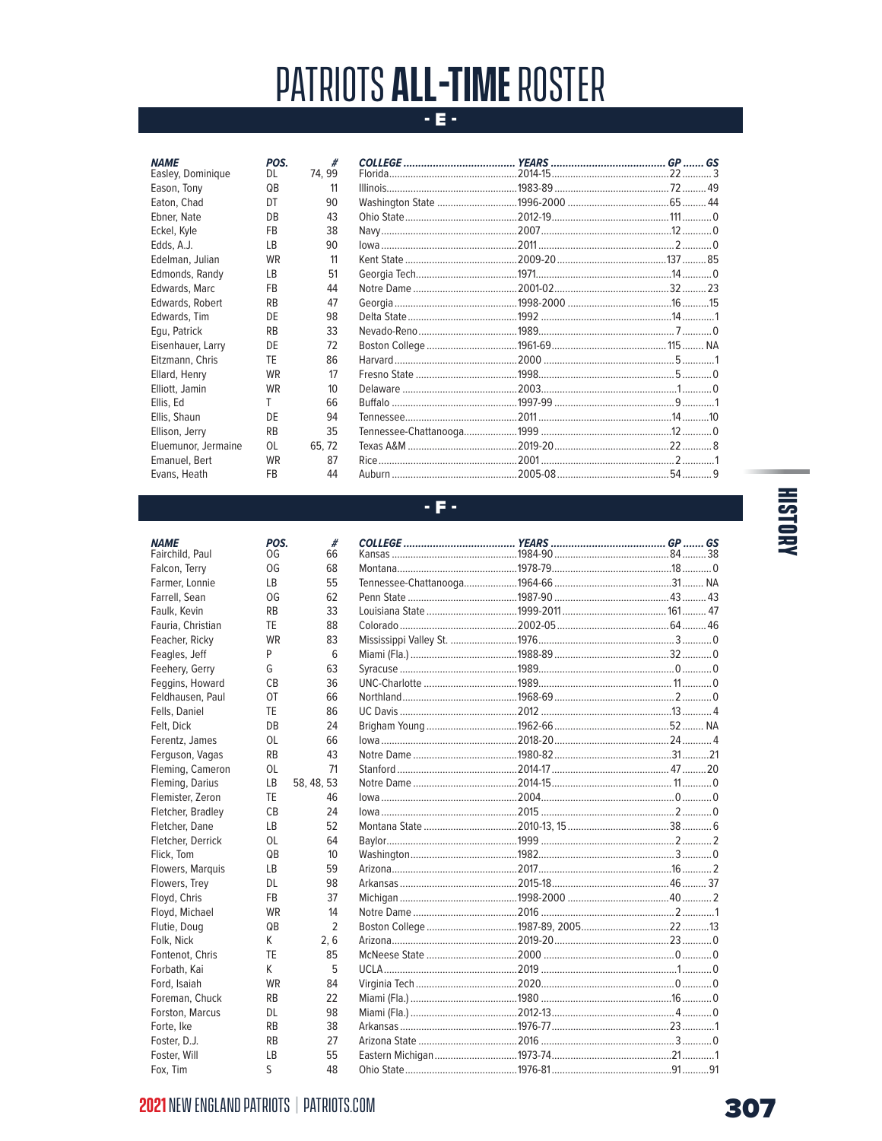### $E =$

 $#$ <br>74, 99

| <b>NAME</b>         | POS.      |
|---------------------|-----------|
| Easley, Dominique   | DL        |
| Eason, Tony         | QB        |
| Eaton, Chad         | DT        |
| Ebner, Nate         | DB        |
| Eckel, Kyle         | FB        |
| Edds, A.J.          | LВ        |
| Edelman, Julian     | WR        |
| Edmonds, Randy      | LВ        |
| Edwards, Marc       | FB        |
| Edwards, Robert     | RB        |
| Edwards, Tim        | DE        |
| Equ, Patrick        | RB        |
| Eisenhauer, Larry   | DE        |
| Eitzmann, Chris     | TE        |
| Ellard, Henry       | <b>WR</b> |
| Elliott, Jamin      | <b>WR</b> |
| Ellis, Ed           | T         |
| Ellis, Shaun        | DE        |
| Ellison, Jerry      | RB        |
| Eluemunor, Jermaine | OL        |
| Emanuel, Bert       | WR        |
| Evans, Heath        | FB        |

POS.

 $\mathop{\mathsf{OG}}$ 

**OG** 

 $LB$ 

OG

 $\mathsf{RB}$ 

**TE** 

WR

 $P$ 

G

 $\mathsf{CB}$ 

 $O<sub>T</sub>$ 

TE

DB

**OL** 

 $RB$ 

 $OL$ 

 $\mathsf{LB}$ 

TE

 $CB$ 

 $LB$ 

 $OL$ 

 $\mathsf{Q}\mathsf{B}$ 

 $LB$ 

**DL** 

 ${\sf FB}$ 

WR

 $\mathsf{Q}\mathsf{B}$ 

 $\mathsf{K}$ 

**TE** 

K

WR

 $RB$ 

DL

 $RB$ 

 $RB$ 

 $LB$ 

 $\sf S$ 

**NAME** 

Fairchild, Paul

Falcon, Terry

Farrell, Sean

Faulk, Kevin

Farmer, Lonnie

Fauria, Christian

Feacher, Ricky

Feagles, Jeff

Feehery, Gerry

Feggins, Howard

Feldhausen, Paul

Ferentz, James

Ferguson, Vagas

Fleming, Darius

Flemister, Zeron

Fletcher, Bradley

Fletcher, Dane

Fletcher, Derrick

Flowers, Marquis

Flowers, Trey

Floyd, Michael

Fontenot, Chris

Foreman, Chuck

Forston, Marcus

Floyd, Chris

Flutie, Doug

Forbath, Kai

Ford, Isaiah

Forte, Ike

Foster, D.J.

Foster, Will

Fox, Tim

Folk, Nick

Flick, Tom

Fleming, Cameron

Fells, Daniel

Felt, Dick

### - F -

| #                |                     |  |  |
|------------------|---------------------|--|--|
| 66               |                     |  |  |
| 68               |                     |  |  |
| 55               |                     |  |  |
| 62               |                     |  |  |
| 33               |                     |  |  |
| 88               |                     |  |  |
| 83               |                     |  |  |
| 6                |                     |  |  |
| 63               |                     |  |  |
| 36               |                     |  |  |
| 66               |                     |  |  |
| 86               |                     |  |  |
| 24               |                     |  |  |
| 66               |                     |  |  |
| 43               |                     |  |  |
| 71               |                     |  |  |
| 58, 48, 53       |                     |  |  |
| 46               |                     |  |  |
| 24               | $10wa1$ 2 $$ 2 $$ 0 |  |  |
| 52               |                     |  |  |
| 64               |                     |  |  |
| 10 <sup>10</sup> |                     |  |  |
| 59               |                     |  |  |
| 98               |                     |  |  |
| 37               |                     |  |  |
| 14               |                     |  |  |
| $\overline{2}$   |                     |  |  |
| 2, 6             |                     |  |  |
| 85               |                     |  |  |
| 5                |                     |  |  |
| 84               |                     |  |  |
| 22               |                     |  |  |
| 98               |                     |  |  |
| 38               |                     |  |  |
| 27               |                     |  |  |
| 55               |                     |  |  |
| 48               |                     |  |  |

# **HISTORY**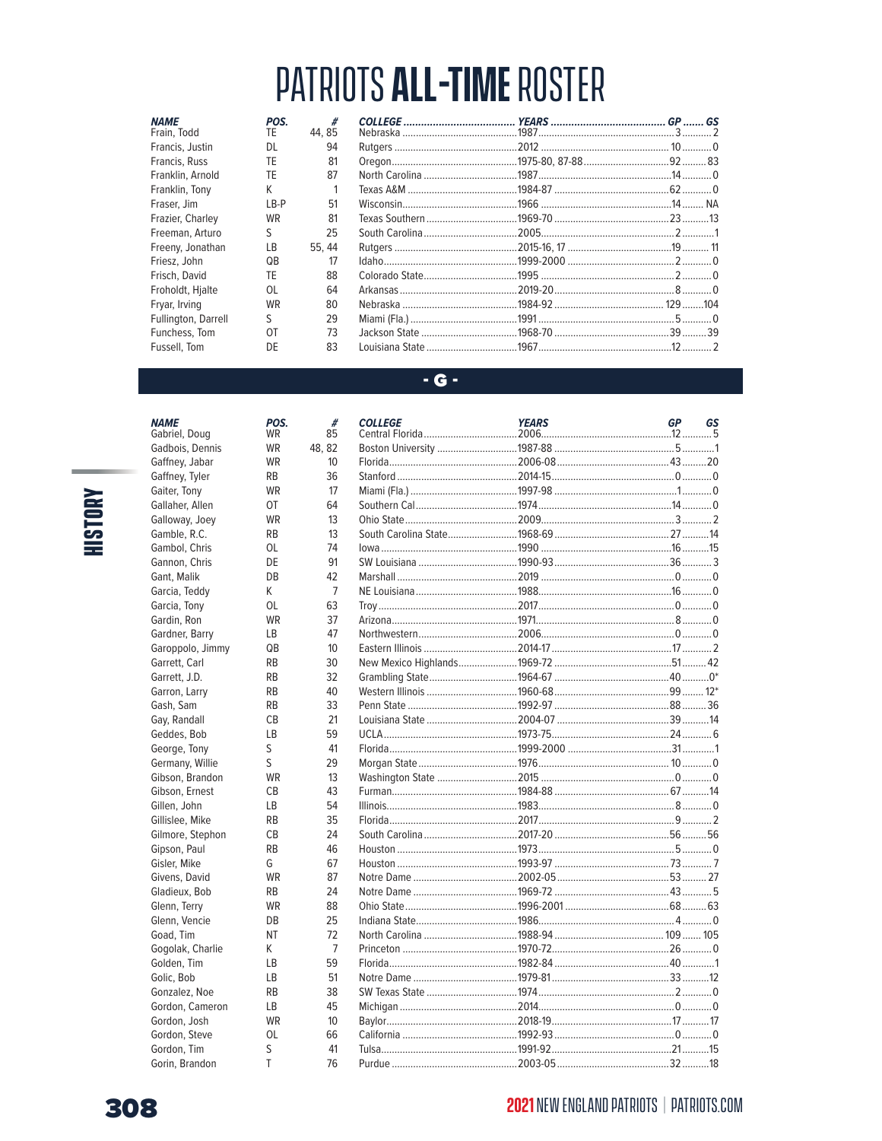| <b>NAME</b>         | POS.      | #            |  |  |
|---------------------|-----------|--------------|--|--|
| Frain, Todd         | TE.       | 44.85        |  |  |
| Francis, Justin     | <b>DL</b> | 94           |  |  |
| Francis, Russ       | TF        | 81           |  |  |
| Franklin, Arnold    | TF        | 87           |  |  |
| Franklin, Tony      | K         | $\mathbf{1}$ |  |  |
| Fraser, Jim         | $LB-P$    | 51           |  |  |
| Frazier, Charley    | <b>WR</b> | 81           |  |  |
| Freeman, Arturo     | S         | 25           |  |  |
| Freeny, Jonathan    | LB        | 55, 44       |  |  |
| Friesz, John        | QB        | 17           |  |  |
| Frisch, David       | TF        | 88           |  |  |
| Froholdt, Hjalte    | 0L        | 64           |  |  |
| Fryar, Irving       | <b>WR</b> | 80           |  |  |
| Fullington, Darrell | S         | 29           |  |  |
| Funchess, Tom       | OT        | 73           |  |  |
| Fussell. Tom        | DE        | 83           |  |  |

#### $-G -$

**NAME** 

Gabriel, Doug

Gadbois, Dennis

Gaffney, Jabar Gaffney, Tyler

Gaiter, Tony

Gallaher, Allen

Galloway, Joey

Gamble, R.C.

Gambol, Chris

Gannon, Chris

Garcia, Teddy

Garcia, Tony Gardin, Ron

Gardner, Barry

Garrett, J.D.

Garron, Larry

Geddes, Bob

George, Tony

Gillen, John

Gillislee, Mike

Gisler, Mike

Givens, David Gladieux, Bob

Glenn, Terry

Glenn, Vencie

Gogolak, Charlie

Goad, Tim

Golden, Tim Golic, Bob

Gonzalez, Noe

Gordon, Steve

Gordon, Tim

Gorin, Brandon

Gordon, Cameron Gordon, Josh

Gilmore, Stephon Gipson, Paul

Germany, Willie

Gibson, Brandon Gibson, Ernest

Gash, Sam Gay, Randall

Garoppolo, Jimmy Garrett, Carl

Gant, Malik

POS.

WR

WR WR

 $RB$ 

WR

OT

WR

**RB** 

**OL** 

DE

 $DB$ 

 $\mathsf{K}$ **OL** 

WR  $\mathsf{LB}$ 

 $QB$ 

**RB** 

 $RB$  $\mathsf{RB}$ 

 $\mathsf{RB}$ 

 $CB$ 

 $LB$ 

S

 $\mathsf S$ WR

 $CB$ 

 $\mathsf{LB}$ 

 $RB$  $CB$ 

 $RB$ 

G WR

 $R<sub>B</sub>$ 

WR

DB

**NT** 

 $\mathsf{K}$  $LB$ 

 $LB$ 

 $RB$  $LB$ 

**WR** 

OL

 $\mathsf S$  $\mathsf T$ 

# **HISTORY**

| #<br>85         | <b>COLLEGE</b> | <b>YEARS</b> | <b>GP</b> | GS |
|-----------------|----------------|--------------|-----------|----|
| 48, 82          |                |              |           |    |
| 10              |                |              |           |    |
| 36              |                |              |           |    |
| 17              |                |              |           |    |
| 64              |                |              |           |    |
| 13              |                |              |           |    |
| 13              |                |              |           |    |
| 74              |                |              |           |    |
| 91              |                |              |           |    |
| 42              |                |              |           |    |
| $\overline{7}$  |                |              |           |    |
| 63              |                |              |           |    |
| 37              |                |              |           |    |
| 47              |                |              |           |    |
| 10              |                |              |           |    |
| 30              |                |              |           |    |
| 32              |                |              |           |    |
| 40              |                |              |           |    |
| 33              |                |              |           |    |
| 21              |                |              |           |    |
| 59              |                |              |           |    |
| 41              |                |              |           |    |
| 29              |                |              |           |    |
| 13              |                |              |           |    |
| 43              |                |              |           |    |
| 54              |                |              |           |    |
| 35              |                |              |           |    |
| 24              |                |              |           |    |
| 46              |                |              |           |    |
| 67              |                |              |           |    |
| 87              |                |              |           |    |
| 24              |                |              |           |    |
| 88              |                |              |           |    |
| 25              |                |              |           |    |
| 72              |                |              |           |    |
| 7               |                |              |           |    |
| 59              |                |              |           |    |
| 51              |                |              |           |    |
| 38              |                |              |           |    |
| 45              |                |              |           |    |
| 10 <sup>°</sup> |                |              |           |    |
| 66              |                |              |           |    |
| 41              |                |              |           |    |
| 76              |                |              |           |    |
|                 |                |              |           |    |

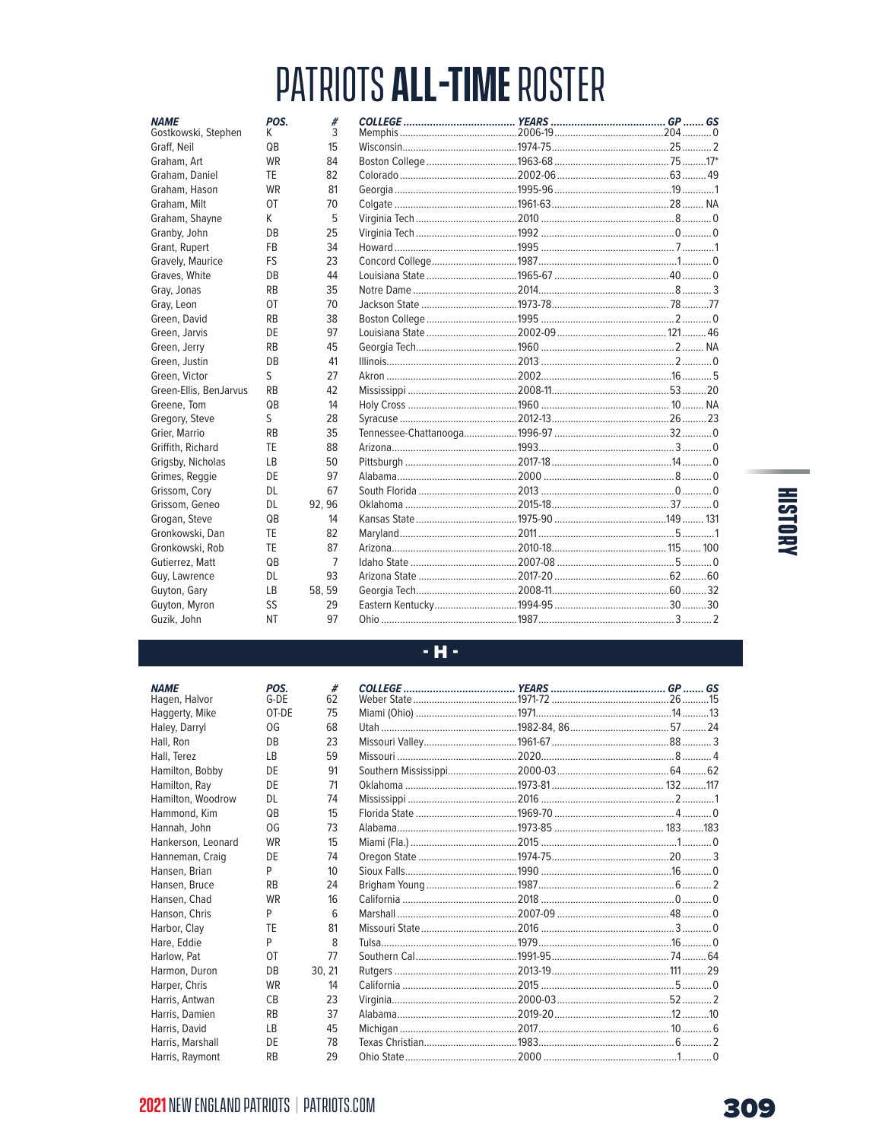| <b>NAME</b><br>Gostkowski, Stephen | POS.<br>K       | #<br>3 |  |  |
|------------------------------------|-----------------|--------|--|--|
| Graff, Neil                        | QB              | 15     |  |  |
| Graham, Art                        | <b>WR</b>       | 84     |  |  |
| Graham, Daniel                     | <b>TF</b>       | 82     |  |  |
| Graham, Hason                      | <b>WR</b>       | 81     |  |  |
| Graham, Milt                       | OT              | 70     |  |  |
| Graham, Shayne                     | K               | 5      |  |  |
| Granby, John                       | <b>DB</b>       | 25     |  |  |
| Grant, Rupert                      | <b>FB</b>       | 34     |  |  |
| Gravely, Maurice                   | FS              | 23     |  |  |
| Graves, White                      | DB              | 44     |  |  |
| Gray, Jonas                        | <b>RB</b>       | 35     |  |  |
| Gray, Leon                         | 0T              | 70     |  |  |
| Green, David                       | <b>RB</b>       | 38     |  |  |
| Green, Jarvis                      | DE              | 97     |  |  |
| Green, Jerry                       | <b>RB</b>       | 45     |  |  |
| Green, Justin                      | <b>DB</b>       | 41     |  |  |
| Green, Victor                      | S               | 27     |  |  |
| Green-Ellis, BenJarvus             | <b>RB</b>       | 42     |  |  |
| Greene, Tom                        | QB              | 14     |  |  |
| Gregory, Steve                     | S               | 28     |  |  |
| Grier, Marrio                      | <b>RB</b>       | 35     |  |  |
| Griffith, Richard                  | TF              | 88     |  |  |
| Grigsby, Nicholas                  | LB              | 50     |  |  |
| Grimes, Reggie                     | DE              | 97     |  |  |
| Grissom, Cory                      | <b>DL</b>       | 67     |  |  |
| Grissom, Geneo                     | DL.             | 92.96  |  |  |
| Grogan, Steve                      | QB              | 14     |  |  |
| Gronkowski, Dan                    | TF              | 82     |  |  |
| Gronkowski, Rob                    | TE              | 87     |  |  |
| Gutierrez, Matt                    | $\overline{OB}$ | 7      |  |  |
| Guy, Lawrence                      | <b>DL</b>       | 93     |  |  |
| Guyton, Gary                       | LB              | 58, 59 |  |  |
| Guyton, Myron                      | SS              | 29     |  |  |
| Guzik, John                        | <b>NT</b>       | 97     |  |  |

# **KNOTSIH**

#### $- H -$

| #                |  |  |
|------------------|--|--|
| 62               |  |  |
| 75               |  |  |
| 68               |  |  |
| 23               |  |  |
| 59               |  |  |
| 91               |  |  |
| 71               |  |  |
| 74               |  |  |
| 15               |  |  |
| 73               |  |  |
| 15               |  |  |
| 74               |  |  |
| 10 <sup>10</sup> |  |  |
| 24               |  |  |
| 16               |  |  |
| 6                |  |  |
| 81               |  |  |
| 8                |  |  |
| 77               |  |  |
| 30, 21           |  |  |
| 14               |  |  |
| 23               |  |  |
| 37               |  |  |
| 45               |  |  |
| 78               |  |  |
| 29               |  |  |

### **2021 NEW ENGLAND PATRIOTS | PATRIOTS.COM**

**POS.**<br>G-DE

OT-DE

OG

DB

 $\mathsf{L}\mathsf{B}$ 

DE

DE

**DL** 

 $\overline{\mathsf{Q}}\mathsf{B}$ 

OG

WR

DE

 $P$ 

 $RB$ WR

 $P$ 

TE

 $P$ 

OT

 $DB$ 

WR

 $CB$  $RB$ 

 $LB$ 

DE

 $RB$ 

**NAME** Hagen, Halvor

Haggerty, Mike

Haley, Darryl

Hamilton, Ray

Hammond, Kim

Hannah, John Hankerson, Leonard

Hansen, Brian

Hansen, Bruce

Hansen, Chad

Hanson, Chris

Harbor, Clay

Hare, Eddie

Harlow, Pat

Harmon, Duron Harper, Chris

Harris, Antwan

Harris, Damien Harris, David

Harris, Marshall

Harris, Raymont

Hamilton, Woodrow

Hanneman, Craig

Hall, Ron

Hall, Terez Hamilton, Bobby

ŕ.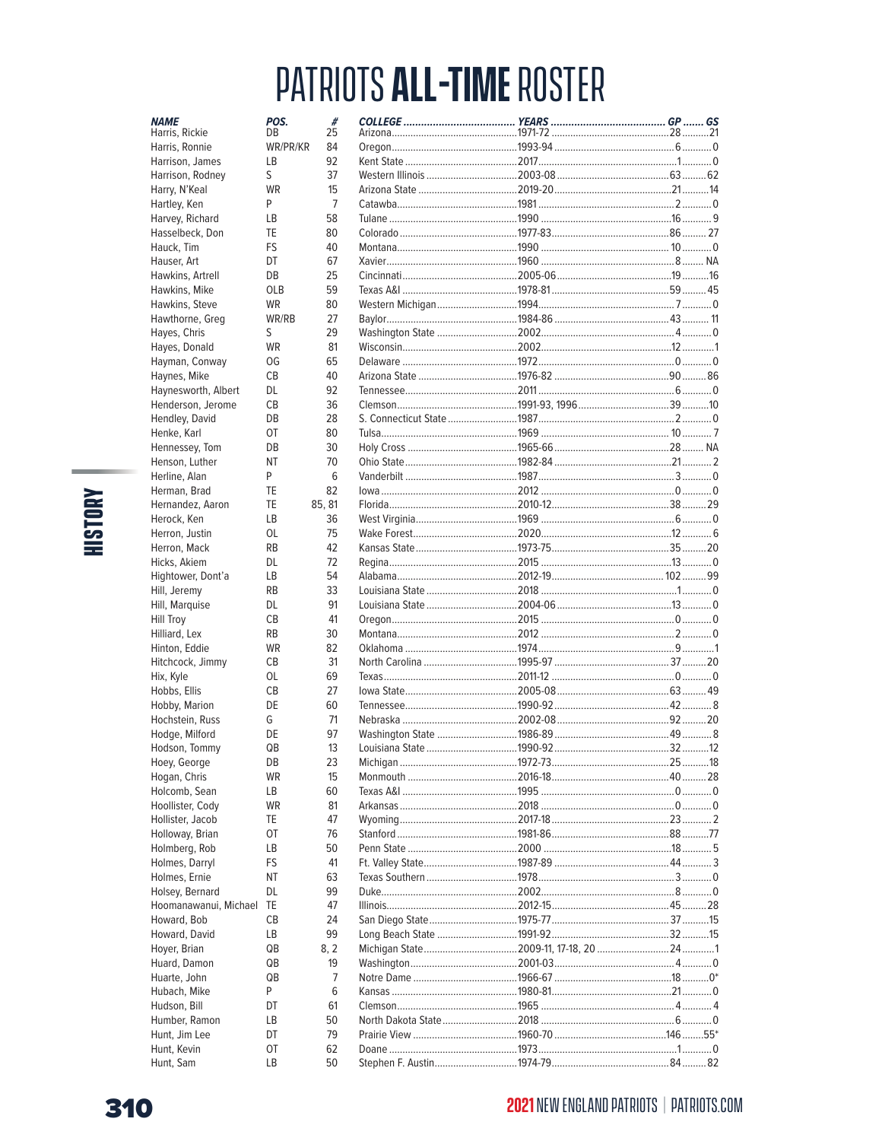| <b>NAME</b>                     | POS.       | #              |  |  |
|---------------------------------|------------|----------------|--|--|
| Harris, Rickie                  | DB         | 25             |  |  |
| Harris, Ronnie                  | WR/PR/KR   | 84<br>92       |  |  |
| Harrison, James                 | LB<br>S    | 37             |  |  |
| Harrison, Rodney                | <b>WR</b>  | 15             |  |  |
| Harry, N'Keal<br>Hartley, Ken   | P          | $\overline{7}$ |  |  |
|                                 | LB         | 58             |  |  |
| Harvey, Richard                 | TE         | 80             |  |  |
| Hasselbeck, Don                 |            |                |  |  |
| Hauck, Tim                      | FS<br>DT   | 40<br>67       |  |  |
| Hauser, Art<br>Hawkins, Artrell | DB         | 25             |  |  |
| Hawkins, Mike                   | <b>OLB</b> | 59             |  |  |
| Hawkins, Steve                  | <b>WR</b>  | 80             |  |  |
| Hawthorne, Greg                 | WR/RB      | 27             |  |  |
| Hayes, Chris                    | S          | 29             |  |  |
| Hayes, Donald                   | <b>WR</b>  | 81             |  |  |
| Hayman, Conway                  | 0G         | 65             |  |  |
| Haynes, Mike                    | <b>CB</b>  | 40             |  |  |
| Haynesworth, Albert             | DL         | 92             |  |  |
| Henderson, Jerome               | CВ         | 36             |  |  |
| Hendley, David                  | DB         | 28             |  |  |
| Henke, Karl                     | OT         | 80             |  |  |
| Hennessey, Tom                  | DB         | 30             |  |  |
| Henson, Luther                  | ΝT         | 70             |  |  |
| Herline, Alan                   | P          | 6              |  |  |
| Herman, Brad                    | TE         | 82             |  |  |
| Hernandez, Aaron                | TE         | 85.81          |  |  |
| Herock, Ken                     | LВ         | 36             |  |  |
| Herron, Justin                  | OL         | 75             |  |  |
| Herron, Mack                    | <b>RB</b>  | 42             |  |  |
| Hicks, Akiem                    | DL         | 72             |  |  |
| Hightower, Dont'a               | LВ         | 54             |  |  |
| Hill, Jeremy                    | <b>RB</b>  | 33             |  |  |
| Hill, Marquise                  | DL         | 91             |  |  |
| <b>Hill Troy</b>                | СB         | 41             |  |  |
| Hilliard, Lex                   | <b>RB</b>  | 30             |  |  |
| Hinton, Eddie                   | <b>WR</b>  | 82             |  |  |
| Hitchcock, Jimmy                | CВ         | 31             |  |  |
| Hix, Kyle                       | OL         | 69             |  |  |
| Hobbs, Ellis                    | <b>CB</b>  | 27             |  |  |
| Hobby, Marion                   | DE         | 60             |  |  |
| Hochstein, Russ                 | G          | 71             |  |  |
| Hodge, Milford                  | DE         | 97             |  |  |
| Hodson, Tommy                   | QB         | 13             |  |  |
| Hoey, George                    | DВ         | 23             |  |  |
| Hogan, Chris                    | WR         | 15             |  |  |
| Holcomb, Sean                   | LВ         | 60             |  |  |
| Hoollister, Cody                | WR         | 81             |  |  |
| Hollister, Jacob                | TE         | 47             |  |  |
| Holloway, Brian                 | OT         | 76             |  |  |
| Holmberg, Rob                   | LВ         | 50             |  |  |
| Holmes, Darryl                  | FS         | 41             |  |  |
| Holmes, Ernie                   | ΝT         | 63             |  |  |
| Holsey, Bernard                 | DL         | 99             |  |  |
| Hoomanawanui, Michael TE        |            | 47             |  |  |
| Howard, Bob                     | CВ         | 24             |  |  |
| Howard, David                   | LВ         | 99             |  |  |
| Hoyer, Brian                    | QB         | 8, 2           |  |  |
| Huard, Damon                    | QB         | 19             |  |  |
| Huarte, John                    | QB         | 7              |  |  |
| Hubach, Mike                    | P          | 6              |  |  |
| Hudson, Bill                    | DT         | 61             |  |  |
| Humber, Ramon                   | LB         | 50             |  |  |
| Hunt, Jim Lee                   | DT         | 79             |  |  |
| Hunt, Kevin                     | OT         | 62             |  |  |
| Hunt, Sam                       | LВ         | 50             |  |  |

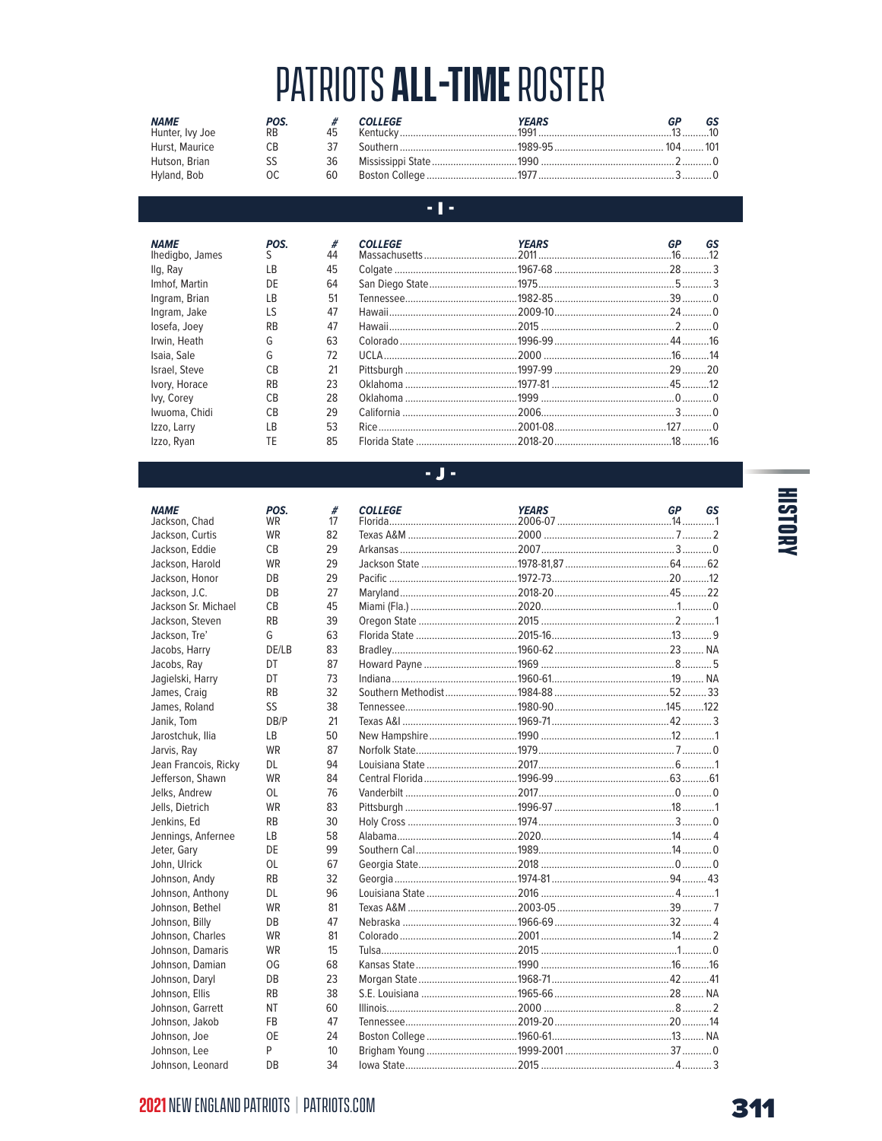| <b>NAME</b><br>Hunter, Ivy Joe | POS.<br><b>RB</b> | 45 | <b>COLLEGE</b> | YEARS | GS |
|--------------------------------|-------------------|----|----------------|-------|----|
| Hurst, Maurice                 | CВ                |    |                |       |    |
| Hutson, Brian                  | SS                | 36 |                |       |    |
| Hyland, Bob                    | OC.               | 60 |                |       |    |

### $\cdot$  T-

| <b>NAME</b><br>Ihedigbo, James | POS.<br>S. | #<br>44 | <b>COLLEGE</b> | <b>YEARS</b> | GР | GS |
|--------------------------------|------------|---------|----------------|--------------|----|----|
| llg, Ray                       | LB         | 45      |                |              |    |    |
| Imhof, Martin                  | DE         | 64      |                |              |    |    |
| Ingram, Brian                  | LB         | 51      |                |              |    |    |
| Ingram, Jake                   | LS         | 47      |                |              |    |    |
| losefa, Joey                   | <b>RB</b>  | 47      |                |              |    |    |
| Irwin, Heath                   | G          | 63      |                |              |    |    |
| Isaia, Sale                    | G          | 72      |                |              |    |    |
| Israel, Steve                  | CB         | 21      |                |              |    |    |
| Ivory, Horace                  | <b>RB</b>  | 23      |                |              |    |    |
| Ivy, Corey                     | CB         | 28      |                |              |    |    |
| Iwuoma, Chidi                  | СB         | 29      |                |              |    |    |
| Izzo, Larry                    | I B        | 53      |                |              |    |    |
| Izzo, Ryan                     | TE         | 85      |                |              |    |    |

#### **NAME**

| <b>NAME</b>          | POS.      |
|----------------------|-----------|
| Jackson, Chad        | WR        |
| Jackson, Curtis      | WR        |
| Jackson, Eddie       | <b>CB</b> |
| Jackson, Harold      | <b>WR</b> |
| Jackson, Honor       | DB        |
| Jackson, J.C.        | DB        |
| Jackson Sr. Michael  | CB        |
| Jackson, Steven      | RB        |
| Jackson, Tre'        | G         |
| Jacobs, Harry        | DE/LB     |
| Jacobs, Ray          | DT        |
| Jagielski, Harry     | DT        |
| James, Craig         | <b>RB</b> |
| James, Roland        | SS        |
| Janik, Tom           | DB/P      |
| Jarostchuk, Ilia     | LВ        |
| Jarvis, Ray          | <b>WR</b> |
| Jean Francois, Ricky | DL        |
| Jefferson, Shawn     | WR        |
| Jelks, Andrew        | OL        |
| Jells, Dietrich      | <b>WR</b> |
| Jenkins, Ed          | RB        |
| Jennings, Anfernee   | LВ        |
| Jeter, Gary          | DE        |
| John, Ulrick         | OL        |
| Johnson, Andy        | RB        |
| Johnson, Anthony     | DL        |
| Johnson, Bethel      | <b>WR</b> |
| Johnson, Billy       | DB        |
| Johnson, Charles     | WR        |
| Johnson, Damaris     | WR        |
| Johnson, Damian      | OG        |
| Johnson, Daryl       | DB        |
| Johnson, Ellis       | RB        |
| Johnson, Garrett     | NΤ        |
| Johnson, Jakob       | FB        |
| Johnson, Joe         | <b>OE</b> |
| Johnson, Lee         | P         |
| Johnson, Leonard     | DB        |

### $\sim$  J  $\sim$

| <b>COLLEGE</b> | <b>YEARS</b> | GP | GS |
|----------------|--------------|----|----|
|                |              |    |    |
|                |              |    |    |
|                |              |    |    |
|                |              |    |    |
|                |              |    |    |
|                |              |    |    |
|                |              |    |    |
|                |              |    |    |
|                |              |    |    |
|                |              |    |    |
|                |              |    |    |
|                |              |    |    |
|                |              |    |    |
|                |              |    |    |
|                |              |    |    |
|                |              |    |    |
|                |              |    |    |
|                |              |    |    |
|                |              |    |    |
|                |              |    |    |
|                |              |    |    |
|                |              |    |    |
|                |              |    |    |
|                |              |    |    |
|                |              |    |    |
|                |              |    |    |
|                |              |    |    |
|                |              |    |    |
|                |              |    |    |
|                |              |    |    |
|                |              |    |    |
|                |              |    |    |
|                |              |    |    |
|                |              |    |    |
|                |              |    |    |
|                |              |    |    |
|                |              |    |    |
|                |              |    |    |

# **HISTORY**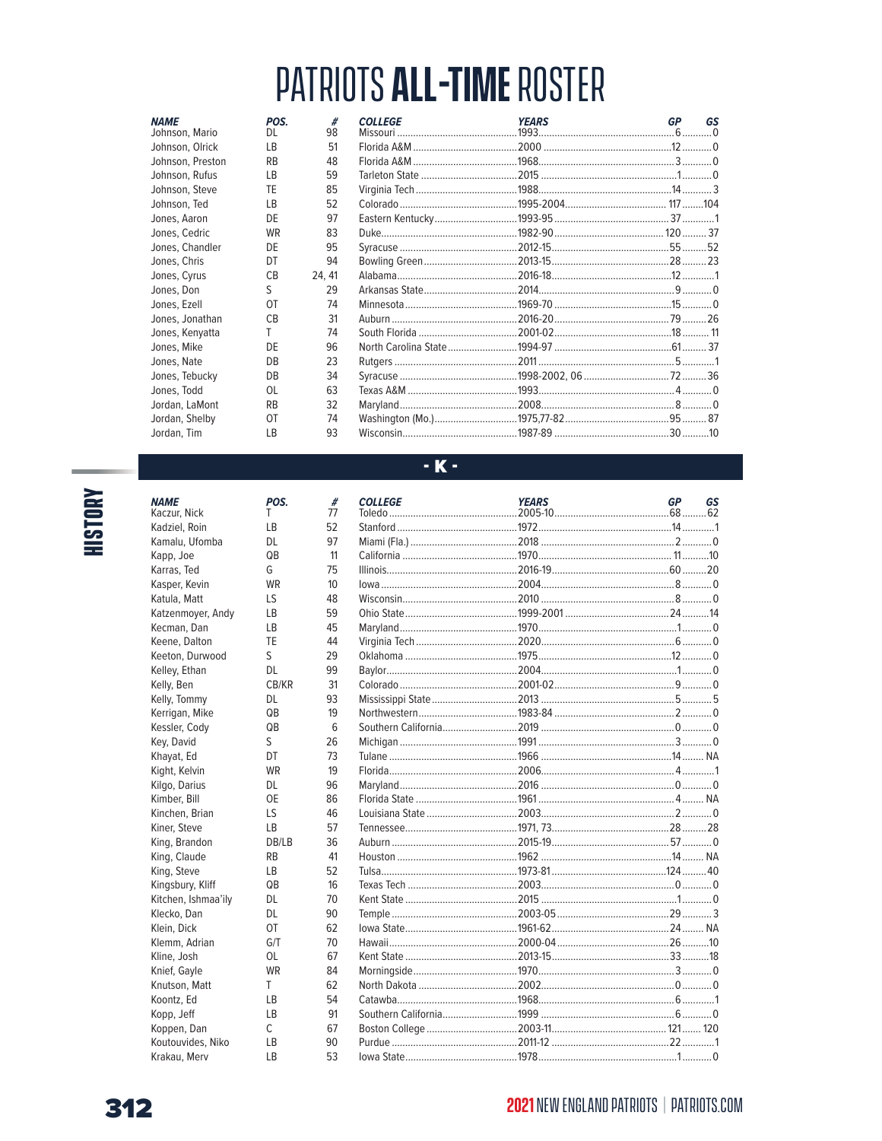| <b>NAME</b><br>Johnson, Mario | POS.<br>DL. | #<br>98 | <b>COLLEGE</b> | <b>YEARS</b> | GP | GS |
|-------------------------------|-------------|---------|----------------|--------------|----|----|
| Johnson, Olrick               | <b>LB</b>   | 51      |                |              |    |    |
| Johnson, Preston              | <b>RB</b>   | 48      |                |              |    |    |
| Johnson, Rufus                | <b>LB</b>   | 59      |                |              |    |    |
| Johnson, Steve                | TE          | 85      |                |              |    |    |
| Johnson, Ted                  | <b>LB</b>   | 52      |                |              |    |    |
| Jones, Aaron                  | DE          | 97      |                |              |    |    |
| Jones, Cedric                 | <b>WR</b>   | 83      |                |              |    |    |
| Jones, Chandler               | DE          | 95      |                |              |    |    |
| Jones, Chris                  | DT          | 94      |                |              |    |    |
| Jones, Cyrus                  | <b>CB</b>   | 24, 41  |                |              |    |    |
| Jones, Don                    | S.          | 29      |                |              |    |    |
| Jones, Ezell                  | OT          | 74      |                |              |    |    |
| Jones, Jonathan               | CB          | 31      |                |              |    |    |
| Jones, Kenyatta               | T.          | 74      |                |              |    |    |
| Jones, Mike                   | DE          | 96      |                |              |    |    |
| Jones, Nate                   | DB          | 23      |                |              |    |    |
| Jones, Tebucky                | DB          | 34      |                |              |    |    |
| Jones, Todd                   | 0L          | 63      |                |              |    |    |
| Jordan, LaMont                | <b>RB</b>   | 32      |                |              |    |    |
| Jordan, Shelby                | 0T          | 74      |                |              |    |    |
| Jordan, Tim                   | <b>LB</b>   | 93      |                |              |    |    |

# **HISTORY**

| <b>NAME</b><br>Kaczur, Nick      | POS.        |
|----------------------------------|-------------|
| Kadziel, Roin                    | Τ<br>LB     |
| Kamalu, Ufomba                   | DL          |
| Kapp, Joe                        | QB          |
| Karras, Ted                      | G           |
| Kasper, Kevin                    | <b>WR</b>   |
| Katula, Matt                     | LS          |
|                                  | LB          |
| Katzenmoyer, Andy<br>Kecman, Dan | LB          |
| Keene, Dalton                    | TE          |
| Keeton, Durwood                  | S           |
| Kelley, Ethan                    | DL          |
| Kelly, Ben                       | CB/KR       |
| Kelly, Tommy                     | DL          |
| Kerrigan, Mike                   | QB          |
| Kessler, Cody                    | QB          |
| Key, David                       | S           |
| Khayat, Ed                       | DT          |
| Kight, Kelvin                    | <b>WR</b>   |
| Kilgo, Darius                    | DL          |
| Kimber, Bill                     | <b>OE</b>   |
| Kinchen, Brian                   | LS          |
|                                  |             |
| Kiner, Steve<br>King, Brandon    | LВ<br>DB/LB |
| King, Claude                     | RB          |
| King, Steve                      | LB          |
| Kingsbury, Kliff                 | QB          |
| Kitchen, Ishmaa'ily              | DL          |
| Klecko, Dan                      | DL          |
| Klein, Dick                      | OT          |
| Klemm, Adrian                    | G/T         |
| Kline, Josh                      | 0L          |
| Knief, Gayle                     | <b>WR</b>   |
| Knutson, Matt                    | T           |
| Koontz, Ed                       | LВ          |
| Kopp, Jeff                       | LB          |
| Koppen, Dan                      | C           |
| Koutouvides, Niko                | LB          |
| Krakau, Merv                     | LB          |
|                                  |             |

### $\cdot$  K  $\cdot$

 $\begin{array}{c} \# \\ 77 \end{array}$ 

| <b>COLLEGE</b> | <b>YEARS</b> | <b>GP</b> | GS |
|----------------|--------------|-----------|----|
|                |              |           |    |
|                |              |           |    |
|                |              |           |    |
|                |              |           |    |
|                |              |           |    |
|                |              |           |    |
|                |              |           |    |
|                |              |           |    |
|                |              |           |    |
|                |              |           |    |
|                |              |           |    |
|                |              |           |    |
|                |              |           |    |
|                |              |           |    |
|                |              |           |    |
|                |              |           |    |
|                |              |           |    |
|                |              |           |    |
|                |              |           |    |
|                |              |           |    |
|                |              |           |    |
|                |              |           |    |
|                |              |           |    |
|                |              |           |    |
|                |              |           |    |
|                |              |           |    |
|                |              |           |    |
|                |              |           |    |
|                |              |           |    |
|                |              |           |    |
|                |              |           |    |
|                |              |           |    |
|                |              |           |    |
|                |              |           |    |
|                |              |           |    |
|                |              |           |    |
|                |              |           |    |
|                |              |           |    |

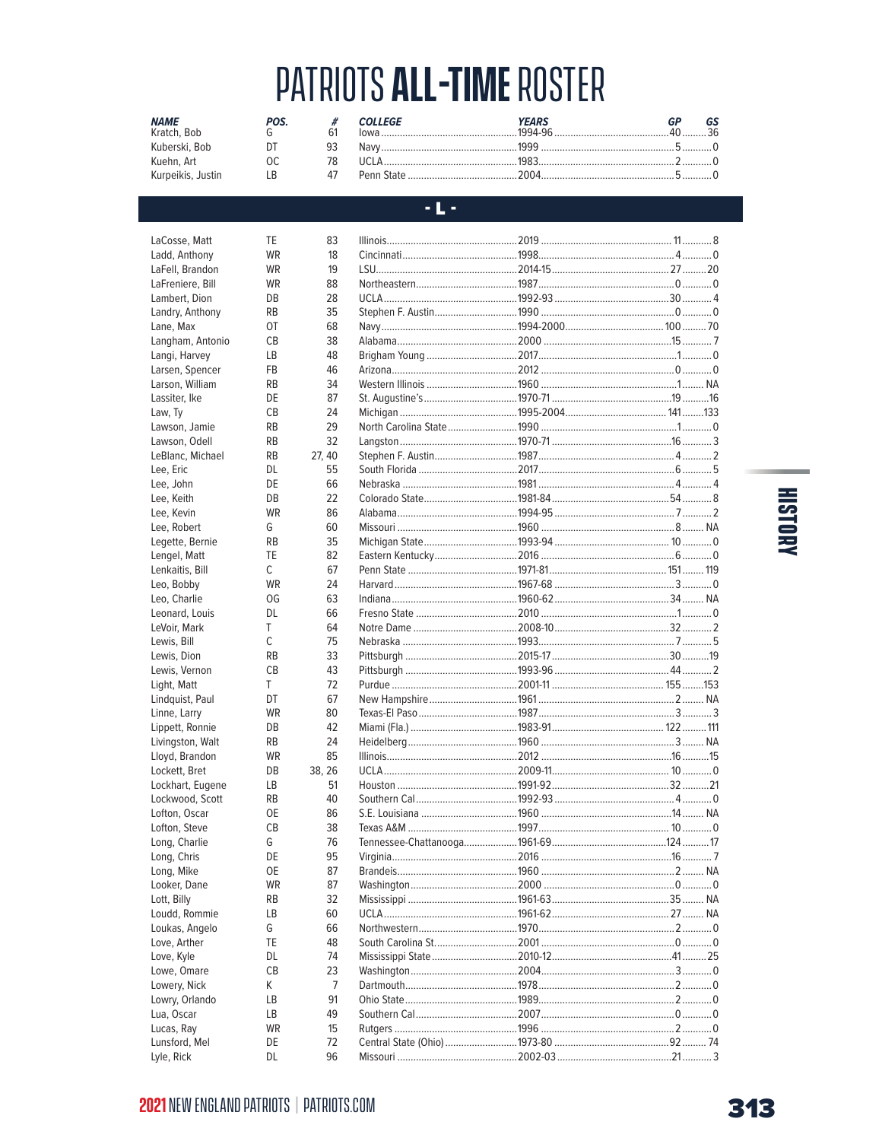| <b>NAME</b><br>Kratch, Bob | POS |    | <b>COLLEGE</b> | YEARS<br>$1994 - 96$ | $\Lambda$ <sup><math>\Lambda</math></sup> |
|----------------------------|-----|----|----------------|----------------------|-------------------------------------------|
| Kuberski, Bob              |     | 93 | Navv           |                      |                                           |
| Kuehn. Art                 | nr  |    | I ICI A        |                      |                                           |
| Kurpeikis, Justin          | l R | Δ7 |                |                      |                                           |

### $\sim$  L  $\sim$

| LaCosse, Matt    | TE        | 83     |          |              |      |           |
|------------------|-----------|--------|----------|--------------|------|-----------|
| Ladd, Anthony    | <b>WR</b> | 18     |          |              |      |           |
| LaFell, Brandon  | <b>WR</b> | 19     |          |              |      |           |
| LaFreniere, Bill | <b>WR</b> | 88     |          |              |      |           |
| Lambert, Dion    | DB        | 28     |          |              |      |           |
| Landry, Anthony  | <b>RB</b> | 35     |          |              |      |           |
| Lane, Max        | 0T        | 68     |          |              |      |           |
| Langham, Antonio | <b>CB</b> | 38     |          |              |      |           |
| Langi, Harvey    | LB        | 48     |          |              |      |           |
| Larsen, Spencer  | <b>FB</b> | 46     |          |              |      |           |
| Larson, William  | <b>RB</b> | 34     |          |              |      |           |
| Lassiter, Ike    | DE        | 87     |          |              |      |           |
| Law, Ty          | <b>CB</b> | 24     |          |              |      |           |
| Lawson, Jamie    | <b>RB</b> | 29     |          |              |      |           |
| Lawson, Odell    | <b>RB</b> | 32     |          |              |      |           |
| LeBlanc, Michael | <b>RB</b> | 27, 40 |          |              |      |           |
| Lee, Eric        | DL.       | 55     |          |              |      |           |
| Lee, John        | DE        | 66     |          |              |      |           |
| Lee, Keith       | DB        | 22     |          |              |      |           |
|                  | <b>WR</b> | 86     |          |              |      |           |
| Lee, Kevin       | G         | 60     |          |              |      |           |
| Lee, Robert      |           |        |          |              |      |           |
| Legette, Bernie  | <b>RB</b> | 35     |          |              |      |           |
| Lengel, Matt     | TE        | 82     |          |              |      |           |
| Lenkaitis, Bill  | C         | 67     |          |              |      |           |
| Leo, Bobby       | <b>WR</b> | 24     |          |              |      |           |
| Leo. Charlie     | OG        | 63     |          |              |      |           |
| Leonard, Louis   | <b>DL</b> | 66     |          |              |      |           |
| LeVoir, Mark     | T         | 64     |          |              |      |           |
| Lewis, Bill      | C         | 75     |          |              |      |           |
| Lewis, Dion      | <b>RB</b> | 33     |          |              |      |           |
| Lewis, Vernon    | <b>CB</b> | 43     |          |              |      |           |
| Light, Matt      | T.        | 72     |          |              |      |           |
| Lindquist, Paul  | DT        | 67     |          |              |      |           |
| Linne, Larry     | <b>WR</b> | 80     |          |              |      |           |
| Lippett, Ronnie  | DB        | 42     |          |              |      |           |
| Livingston, Walt | <b>RB</b> | 24     |          |              |      |           |
| Lloyd, Brandon   | WR        | 85     |          |              |      |           |
| Lockett, Bret    | DB        | 38, 26 |          |              |      |           |
| Lockhart, Eugene | LB        | 51     |          |              |      |           |
| Lockwood, Scott  | <b>RB</b> | 40     |          |              |      |           |
| Lofton, Oscar    | <b>OE</b> | 86     |          |              |      |           |
| Lofton, Steve    | <b>CB</b> | 38     |          |              |      |           |
| Long, Charlie    | G         | 76     |          |              |      |           |
| Long, Chris      | DE        | 95     |          |              |      |           |
| Long, Mike       | <b>OE</b> | 87     |          |              |      |           |
| Looker, Dane     | WR        | 87     |          |              |      |           |
| Lott, Billy      | RB        | 32     |          |              |      |           |
| Loudd, Rommie    | LB        | 60     |          |              |      |           |
| Loukas, Angelo   | G         | 66     |          |              |      |           |
| Love, Arther     | TE        | 48     |          |              |      |           |
| Love, Kyle       | DL        | 74     |          |              |      |           |
| Lowe, Omare      | <b>CB</b> | 23     |          |              |      |           |
|                  |           | 7      |          |              |      |           |
| Lowery, Nick     | K         |        |          |              |      |           |
| Lowry, Orlando   | LВ        | 91     |          |              |      |           |
| Lua, Oscar       | LB        | 49     |          |              |      |           |
| Lucas, Ray       | WR        | 15     |          |              |      |           |
| Lunsford, Mel    | DE        | 72     |          |              |      |           |
| Lyle, Rick       | <b>DL</b> | 96     | Missouri | $.2002 - 03$ | .21. | $\dots$ 3 |

# **HISTORY**

### **2021 NEW ENGLAND PATRIOTS | PATRIOTS.COM**

Lyle, Rick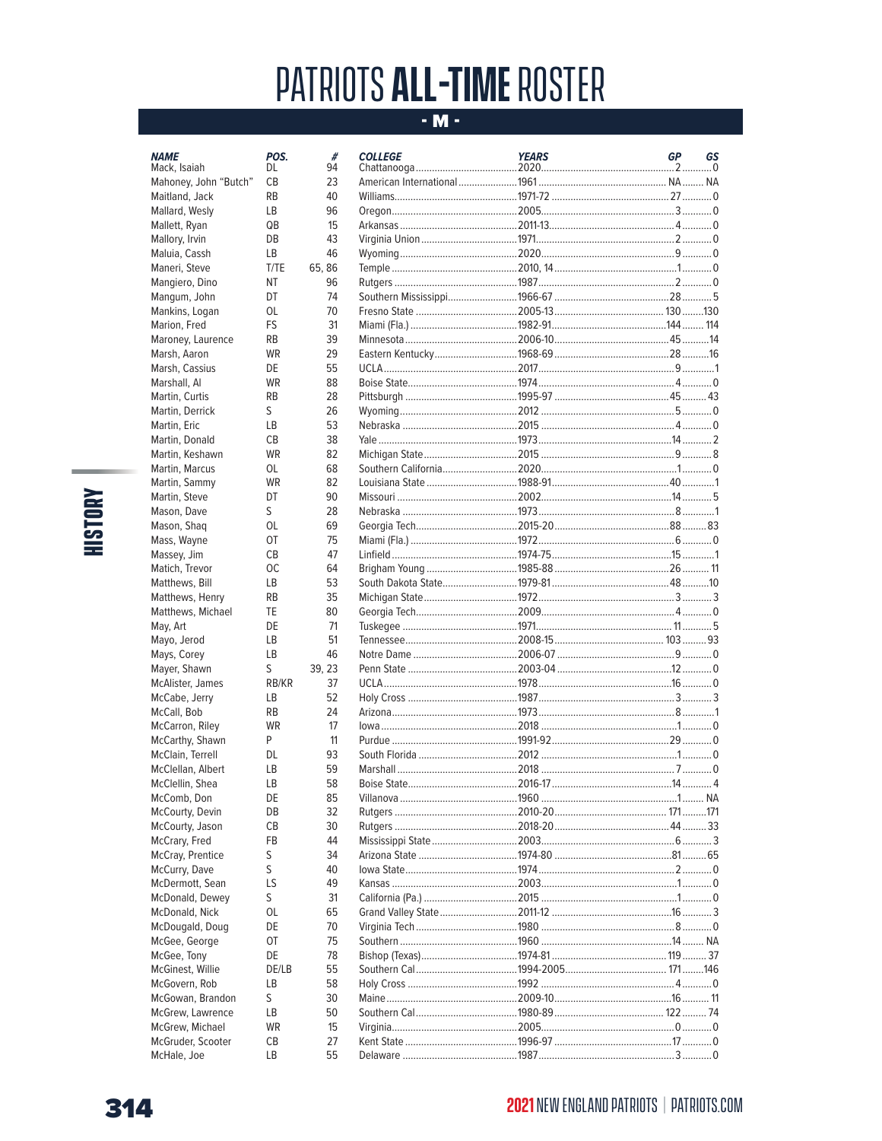### $-M -$

| <b>NAME</b>                        |
|------------------------------------|
| Mack, Isaiah                       |
| Mahoney, John "Butch"              |
| Maitland, Jack                     |
| Mallard, Wesly                     |
| Mallett, Ryan                      |
| Mallory, Irvin                     |
| Maluia, Cassh                      |
| Maneri, Steve                      |
| Mangiero, Dino                     |
| Mangum, John                       |
| Mankins, Logan                     |
| Marion, Fred                       |
| Maroney, Laurence                  |
| Marsh, Aaron                       |
| Marsh, Cassius                     |
| Marshall, Al                       |
| Martin, Curtis                     |
| Martin, Derrick                    |
| Martin, Eric                       |
| Martin, Donald                     |
| Martin, Keshawn                    |
| Martin, Marcus                     |
| Martin, Sammy                      |
| Martin, Steve                      |
| Mason, Dave                        |
| Mason, Shaq                        |
| Mass, Wayne                        |
| Massey, Jim                        |
| Matich, Trevor                     |
| Matthews, Bill                     |
| Matthews, Henry                    |
| Matthews, Michael                  |
| May, Art                           |
| Mayo, Jerod                        |
| Mays, Corey                        |
| Mayer, Shawn                       |
| McAlister, James                   |
| McCabe, Jerry                      |
| McCall, Bob                        |
| McCarron, Riley                    |
| McCarthy, Shawn                    |
| McClain, Terrell                   |
| McClellan, Albert                  |
| McClellin, Shea                    |
|                                    |
| McComb, Don                        |
| McCourty, Devin<br>McCourty, Jason |
|                                    |
| McCrary, Fred                      |
| McCray, Prentice                   |
| McCurry, Dave                      |
| McDermott, Sean                    |
| McDonald, Dewey                    |
| McDonald, Nick                     |
| McDougald, Doug                    |
| McGee, George                      |
| McGee, Tony                        |
| McGinest. Willie                   |

POS.<br>DL

 $\mathsf{CB}$  $\mathsf{RB}$  $\mathsf{LB}$  $QB$ DB  $\mathsf{LB}\xspace$  $T/TE$ 

**NT** DT  $OL$  ${\sf FS}$  $RB$ WR DE WR  $RB$  $\mathsf{S}$  $\mathsf{LB}$  $CB$ WR  $OL$ 

WR

 $\mathsf{D}\mathsf{T}$  $\mathsf{S}$  $OL$  $O<sub>T</sub>$  $\mathsf{CB}$  $OC$  $LB$  $RB$  $\mathsf{TE}$ DE  $LB$  $\mathsf{LB}$  $\mathsf S$ 

 $RB/KR$  $\mathsf{LB}\xspace$  $RB$ WR  $\sf P$  $DL$  $\mathsf{LB}$  $\mathsf{LB}$ DE DB  $CB$  ${\sf FB}$  $\mathsf S$  $\mathsf{S}$ LS  $\mathsf{S}$  $OL$ DE OT DE

DE/LB  $\mathsf{LB}$ 

 $\mathsf S$ 

 $\mathsf{LB}$ 

WR

 $\mathsf{CB}$  $\mathsf{LB}$ 

| #<br>94  | <b>COLLEGE</b>                                                 | <b>YEARS</b> | <b>GP</b> | GS |
|----------|----------------------------------------------------------------|--------------|-----------|----|
| 23       |                                                                |              |           |    |
| 40       |                                                                |              |           |    |
| 96       |                                                                |              |           |    |
| 15       |                                                                |              |           |    |
| 43       |                                                                |              |           |    |
| 46       |                                                                |              |           |    |
| 65, 86   |                                                                |              |           |    |
| 96       |                                                                |              |           |    |
| 74       |                                                                |              |           |    |
| 70       |                                                                |              |           |    |
| 31       |                                                                |              |           |    |
| 39       |                                                                |              |           |    |
| 29       |                                                                |              |           |    |
| 55       |                                                                |              |           |    |
| 88       |                                                                |              |           |    |
| 28       |                                                                |              |           |    |
| 26       |                                                                |              |           |    |
| 53       |                                                                |              |           |    |
| 38       |                                                                |              |           |    |
| 82       |                                                                |              |           |    |
| 68       |                                                                |              |           |    |
| 82       |                                                                |              |           |    |
| 90       |                                                                |              |           |    |
| 28       |                                                                |              |           |    |
| 69       |                                                                |              |           |    |
| 75       |                                                                |              |           |    |
| 47       |                                                                |              |           |    |
| 64       |                                                                |              |           |    |
| 53       |                                                                |              |           |    |
| 35       |                                                                |              |           |    |
| 80       |                                                                |              |           |    |
| 71       |                                                                |              |           |    |
| 51       |                                                                |              |           |    |
| 46       |                                                                |              |           |    |
| 39, 23   |                                                                |              |           |    |
| 37       |                                                                |              |           |    |
| 52       |                                                                |              |           |    |
| 24       |                                                                |              |           |    |
| 17       |                                                                |              |           |    |
| 11       |                                                                |              |           |    |
| 93       |                                                                |              |           |    |
| 59       | Marshall ……………………………………………………2018 ………………………………………………………………………0 |              |           |    |
| 58       |                                                                |              |           |    |
| 85<br>32 |                                                                |              |           |    |
| 30       |                                                                |              |           |    |
| 44       |                                                                |              |           |    |
| 34       |                                                                |              |           |    |
| 40       |                                                                |              |           |    |
| 49       |                                                                |              |           |    |
|          |                                                                |              |           |    |
| 31<br>65 |                                                                |              |           |    |
| 70       |                                                                |              |           |    |
| 75       |                                                                |              |           |    |
| 78       |                                                                |              |           |    |
| 55       |                                                                |              |           |    |
| 58       |                                                                |              |           |    |
| 30       |                                                                |              |           |    |
| 50       |                                                                |              |           |    |
| 15       |                                                                |              |           |    |
| 27       |                                                                |              |           |    |
| 55       |                                                                |              |           |    |

--

McGovern, Rob

McGowan, Brandon McGrew, Lawrence

McGrew, Michael

McGruder, Scooter

McHale, Joe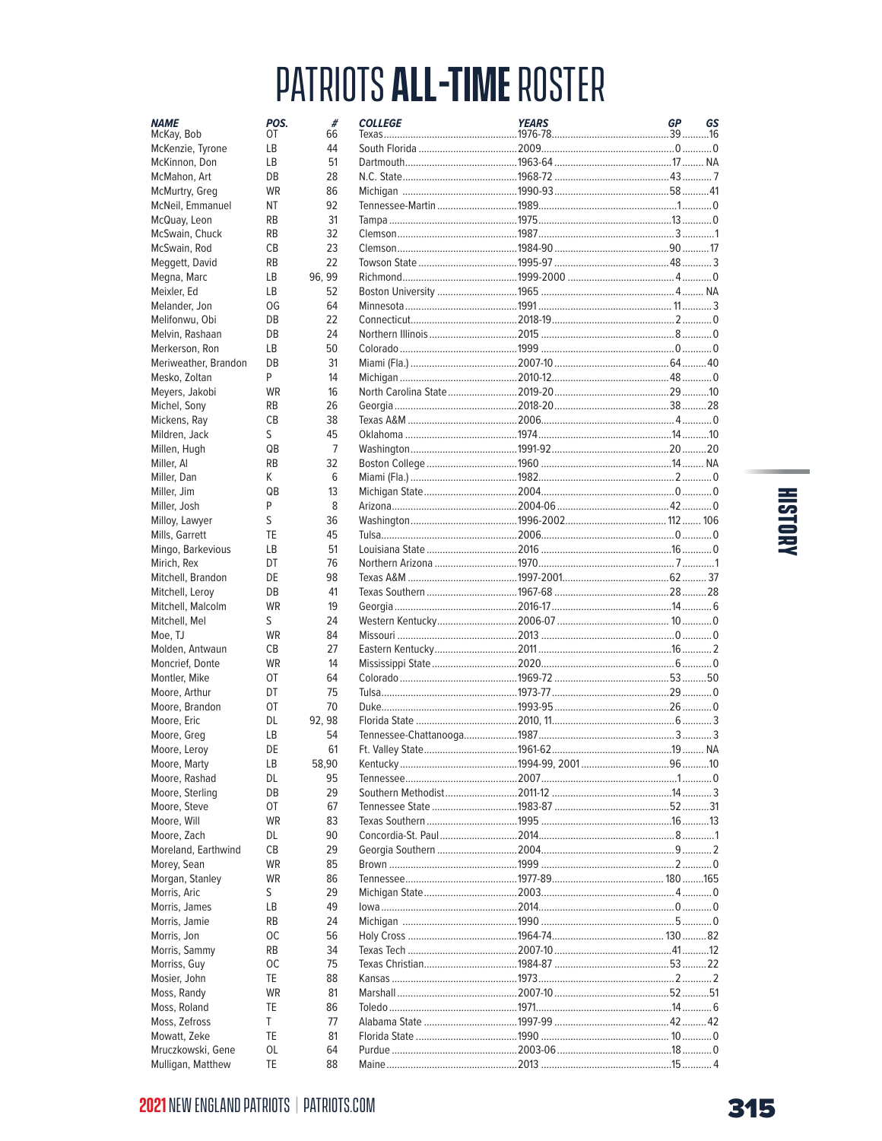| <b>NAME</b><br>McKay, Bob       | POS.<br>OT | #<br>66        | <b>COLLEGE</b> | <b>YEARS</b> | <b>GP</b> | GS |
|---------------------------------|------------|----------------|----------------|--------------|-----------|----|
| McKenzie, Tyrone                | LB         | 44             |                |              |           |    |
| McKinnon, Don                   | LB         | 51             |                |              |           |    |
| McMahon, Art                    | DB         | 28             |                |              |           |    |
| McMurtry, Greg                  | <b>WR</b>  | 86             |                |              |           |    |
| McNeil, Emmanuel                | NT         | 92             |                |              |           |    |
| McQuay, Leon                    | <b>RB</b>  | 31             |                |              |           |    |
| McSwain, Chuck                  | <b>RB</b>  | 32             |                |              |           |    |
| McSwain, Rod                    | CB         | 23             |                |              |           |    |
| Meggett, David                  | <b>RB</b>  | 22             |                |              |           |    |
| Megna, Marc                     | LB         | 96, 99         |                |              |           |    |
| Meixler, Ed                     | <b>LB</b>  | 52             |                |              |           |    |
| Melander, Jon                   | OG         | 64             |                |              |           |    |
| Melifonwu, Obi                  | DB         | 22             |                |              |           |    |
| Melvin, Rashaan                 | DB         | 24             |                |              |           |    |
| Merkerson, Ron                  | LB         | 50             |                |              |           |    |
| Meriweather, Brandon            | DB         | 31             |                |              |           |    |
| Mesko, Zoltan                   | P          | 14             |                |              |           |    |
| Meyers, Jakobi                  | <b>WR</b>  | 16             |                |              |           |    |
| Michel, Sony                    | <b>RB</b>  | 26             |                |              |           |    |
| Mickens, Ray                    | СB         | 38             |                |              |           |    |
| Mildren, Jack                   | S          | 45             |                |              |           |    |
| Millen, Hugh                    | QB         | $\overline{7}$ |                |              |           |    |
| Miller, Al                      | <b>RB</b>  | 32             |                |              |           |    |
| Miller, Dan                     | K          | 6              |                |              |           |    |
| Miller, Jim                     | QB         | 13             |                |              |           |    |
| Miller, Josh                    | P          | 8              |                |              |           |    |
| Milloy, Lawyer                  | S          | 36             |                |              |           |    |
| Mills, Garrett                  | TE         | 45             |                |              |           |    |
| Mingo, Barkevious               | <b>LB</b>  | 51             |                |              |           |    |
| Mirich, Rex                     | DT         | 76             |                |              |           |    |
| Mitchell, Brandon               | DE         | 98             |                |              |           |    |
| Mitchell, Leroy                 | DB         | 41             |                |              |           |    |
| Mitchell, Malcolm               | <b>WR</b>  | 19             |                |              |           |    |
| Mitchell, Mel                   | S          | 24             |                |              |           |    |
| Moe, TJ                         | <b>WR</b>  | 84             |                |              |           |    |
| Molden, Antwaun                 | СB         | 27             |                |              |           |    |
| Moncrief, Donte                 | <b>WR</b>  | 14<br>64       |                |              |           |    |
| Montler, Mike                   | 0T         |                |                |              |           |    |
| Moore, Arthur<br>Moore, Brandon | DT<br>OT   | 75<br>70       |                |              |           |    |
| Moore, Eric                     | DL.        | 92, 98         |                |              |           |    |
| Moore, Greg                     | LB         | 54             |                |              |           |    |
| Moore, Leroy                    | DE         | 61             |                |              |           |    |
| Moore, Marty                    | LB         | 58,90          |                |              |           |    |
| Moore, Rashad                   | DL         | 95             |                |              |           |    |
| Moore, Sterling                 | DB         | 29             |                |              |           |    |
| Moore, Steve                    | OT         | 67             |                |              |           |    |
| Moore, Will                     | WR         | 83             |                |              |           |    |
| Moore, Zach                     | DL.        | 90             |                |              |           |    |
| Moreland, Earthwind             | СB         | 29             |                |              |           |    |
| Morey, Sean                     | WR         | 85             |                |              |           |    |
| Morgan, Stanley                 | WR         | 86             |                |              |           |    |
| Morris, Aric                    | S          | 29             |                |              |           |    |
| Morris, James                   | LB         | 49             |                |              |           |    |
| Morris, Jamie                   | <b>RB</b>  | 24             |                |              |           |    |
| Morris, Jon                     | ОC         | 56             |                |              |           |    |
| Morris, Sammy                   | <b>RB</b>  | 34             |                |              |           |    |
| Morriss, Guy                    | ОC         | 75             |                |              |           |    |
| Mosier, John                    | TE         | 88             |                |              |           |    |
| Moss, Randy                     | WR         | 81             |                |              |           |    |
| Moss, Roland                    | TE         | 86             |                |              |           |    |
| Moss, Zefross                   | T          | 77             |                |              |           |    |
| Mowatt, Zeke                    | TE         | 81             |                |              |           |    |
| Mruczkowski, Gene               | OL         | 64             |                |              |           |    |
| Mulligan, Matthew               | TE         | 88             |                |              |           |    |

# HISTORY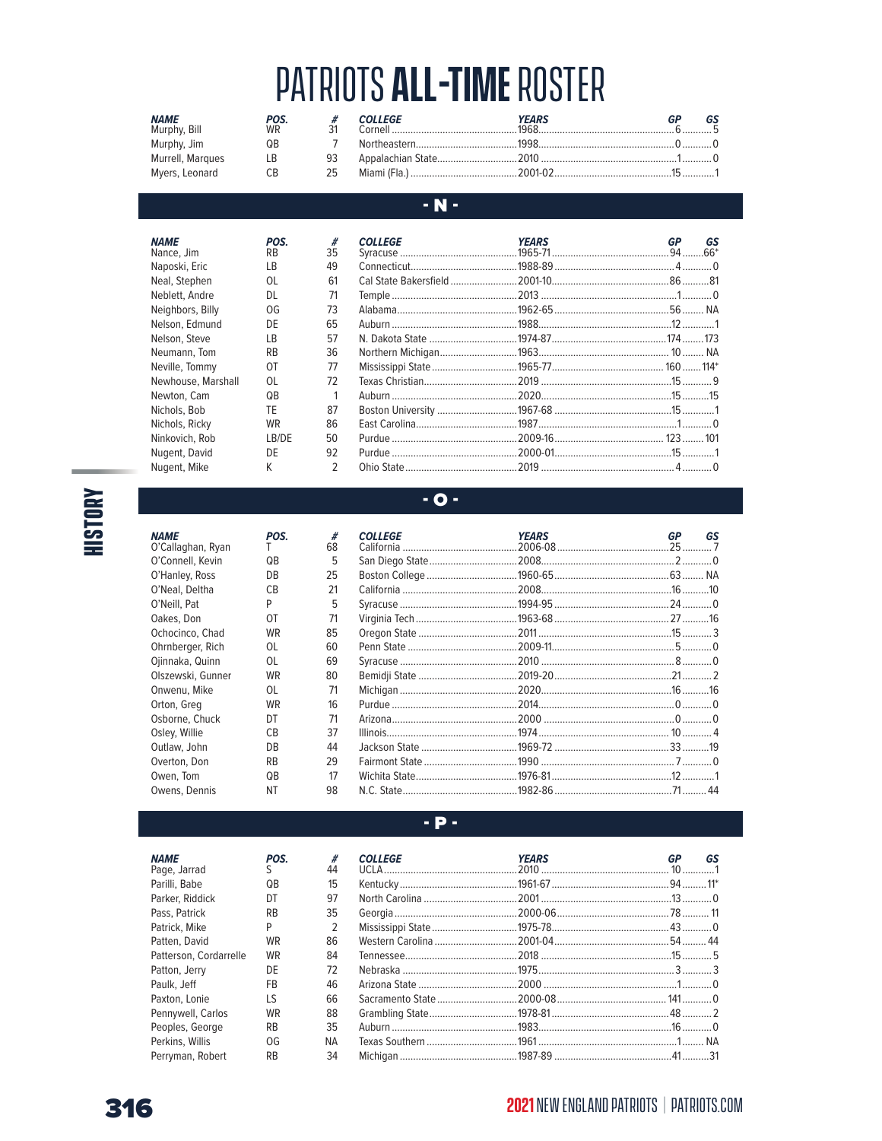| <b>NAME</b><br>Murphy, Bill | POS.<br>WR |    | <b>COLLEGE</b> | <b>YEARS</b><br>$Cornell$ $1968$ | GS |
|-----------------------------|------------|----|----------------|----------------------------------|----|
| Murphy, Jim                 | QΒ         |    |                |                                  |    |
| Murrell, Marques            | LB.        | 93 |                |                                  |    |
| Myers, Leonard              | CB.        | 25 |                |                                  |    |

### $\cdot$  N  $\cdot$

| <b>NAME</b><br>Nance, Jim | POS.<br><b>RB</b> | #<br>35       | <b>COLLEGE</b> | <b>YEARS</b> | GР<br>GS |
|---------------------------|-------------------|---------------|----------------|--------------|----------|
| Naposki, Eric             | LB                | 49            |                |              |          |
| Neal, Stephen             | 0L                | 61            |                |              |          |
| Neblett, Andre            | <b>DL</b>         | 71            |                |              |          |
| Neighbors, Billy          | OG                | 73            |                |              |          |
| Nelson, Edmund            | DE                | 65            |                |              |          |
| Nelson, Steve             | LB                | 57            |                |              |          |
| Neumann, Tom              | <b>RB</b>         | 36            |                |              |          |
| Neville, Tommy            | OT                | 77            |                |              |          |
| Newhouse, Marshall        | 0L                | 72            |                |              |          |
| Newton, Cam               | QB                | 1             |                |              |          |
| Nichols, Bob              | TE                | 87            |                |              |          |
| Nichols, Ricky            | <b>WR</b>         | 86            |                |              |          |
| Ninkovich, Rob            | LB/DE             | 50            |                |              |          |
| Nugent, David             | DE                | 92            |                |              |          |
| Nugent, Mike              | K                 | $\mathcal{P}$ |                |              |          |

**HISTORY** 

**NAME** 

O'Callaghan, Ryan

O'Connell, Kevin

O'Hanley, Ross O'Neal, Deltha

O'Neill, Pat

Oakes, Don Ochocinco, Chad

Ohrnberger, Rich

Ojinnaka, Quinn

Onwenu, Mike

Osborne, Chuck

Orton, Greg

Osley, Willie

Outlaw, John

Overton, Don

Owens, Dennis

Owen, Tom

Olszewski, Gunner

POS.

T

 $QB$ 

DB

 $CB$ 

P

**OT** 

**WR** 

OL

 $OL$ 

WR

 $OL$ 

WR

DT

 $CB$ 

DB

 $\mathsf{RB}$ 

 $QB$ 

**NT** 

#  $44$ 

15

97

35

 $\overline{2}$ 

86

84

72

46

66

88

35

**NA** 

34

### $-0-$

| #  | <b>COLLEGE</b> | <b>YEARS</b> | GP | GS |
|----|----------------|--------------|----|----|
| 68 |                |              |    |    |
| 5  |                |              |    |    |
| 25 |                |              |    |    |
| 21 |                |              |    |    |
| 5  |                |              |    |    |
| 71 |                |              |    |    |
| 85 |                |              |    |    |
| 60 |                |              |    |    |
| 69 |                |              |    |    |
| 80 |                |              |    |    |
| 71 |                |              |    |    |
| 16 |                |              |    |    |
| 71 |                |              |    |    |
| 37 |                |              |    |    |
| 44 |                |              |    |    |
| 29 |                |              |    |    |
| 17 |                |              |    |    |
| 98 |                |              |    |    |

#### $-$  P  $-$

| <b>COLLEGE</b> | <b>YEARS</b>        | <b>GP</b> | GS |
|----------------|---------------------|-----------|----|
|                |                     |           |    |
|                |                     |           |    |
|                |                     |           |    |
|                |                     |           |    |
|                |                     |           |    |
|                |                     |           |    |
|                |                     |           |    |
|                |                     |           |    |
|                |                     |           |    |
|                |                     |           |    |
|                |                     |           |    |
|                |                     |           |    |
| Michinan       | $1987-89$ $41$ $31$ |           |    |

**NAME** POS. Page, Jarrad  $\sf S$ Parilli, Babe  $QB$ Parker, Riddick DT Pass, Patrick  $\mathsf{RB}$ Patrick, Mike P WR Patten, David Patterson, Cordarrelle **WR** Patton, Jerry DE Paulk, Jeff  ${\sf FB}$ Paxton, Lonie LS Pennywell, Carlos **WR**  $RB$ Peoples, George Perkins, Willis OG Perryman, Robert  $RB$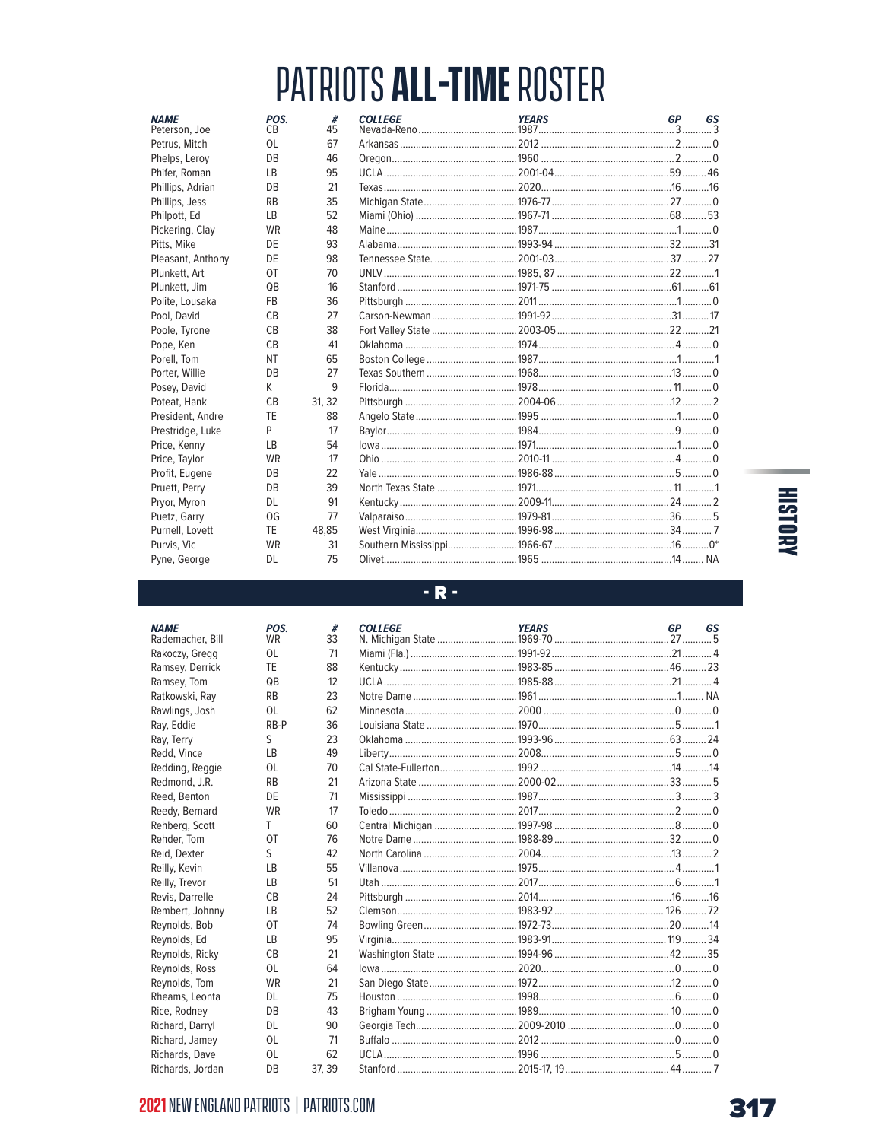| <b>NAME</b><br>Peterson, Joe | POS.<br>C <sub>B</sub> | #<br>45 | <b>COLLEGE</b> | <b>YEARS</b> | GP | GS |
|------------------------------|------------------------|---------|----------------|--------------|----|----|
| Petrus, Mitch                | 0L                     | 67      |                |              |    |    |
| Phelps, Leroy                | DB                     | 46      |                |              |    |    |
| Phifer, Roman                | <b>LB</b>              | 95      |                |              |    |    |
| Phillips, Adrian             | DB                     | 21      |                |              |    |    |
| Phillips, Jess               | <b>RB</b>              | 35      |                |              |    |    |
| Philpott, Ed                 | <b>LB</b>              | 52      |                |              |    |    |
| Pickering, Clay              | <b>WR</b>              | 48      |                |              |    |    |
| Pitts, Mike                  | DE                     | 93      |                |              |    |    |
| Pleasant, Anthony            | DE                     | 98      |                |              |    |    |
| Plunkett, Art                | 0T                     | 70      |                |              |    |    |
| Plunkett, Jim                | QB                     | 16      |                |              |    |    |
| Polite, Lousaka              | <b>FB</b>              | 36      |                |              |    |    |
| Pool, David                  | CB                     | 27      |                |              |    |    |
| Poole, Tyrone                | <b>CB</b>              | 38      |                |              |    |    |
| Pope, Ken                    | CB                     | 41      |                |              |    |    |
| Porell, Tom                  | <b>NT</b>              | 65      |                |              |    |    |
| Porter, Willie               | DB                     | 27      |                |              |    |    |
| Posey, David                 | K                      | 9       |                |              |    |    |
| Poteat, Hank                 | CB                     | 31.32   |                |              |    |    |
| President, Andre             | TE                     | 88      |                |              |    |    |
| Prestridge, Luke             | P                      | 17      |                |              |    |    |
| Price, Kenny                 | LB                     | 54      |                |              |    |    |
| Price, Taylor                | <b>WR</b>              | 17      |                |              |    |    |
| Profit, Eugene               | DB                     | 22      |                |              |    |    |
| Pruett, Perry                | DB                     | 39      |                |              |    |    |
| Pryor, Myron                 | <b>DL</b>              | 91      |                |              |    |    |
| Puetz, Garry                 | OG                     | 77      |                |              |    |    |
| Purnell, Lovett              | TE                     | 48,85   |                |              |    |    |
| Purvis, Vic                  | <b>WR</b>              | 31      |                |              |    |    |
| Pyne, George                 | DL.                    | 75      |                |              |    |    |

# **HISTORY**

#### $-R -$

| <b>NAME</b><br>Rademacher, Bill | POS.<br><b>WR</b> | #<br>33 | <b>COLLEGE</b> | <b>YEARS</b> | <b>GP</b> | GS |
|---------------------------------|-------------------|---------|----------------|--------------|-----------|----|
| Rakoczy, Gregg                  | 0L                | 71      |                |              |           |    |
| Ramsey, Derrick                 | TE                | 88      |                |              |           |    |
| Ramsey, Tom                     | QB                | 12      |                |              |           |    |
| Ratkowski, Ray                  | <b>RB</b>         | 23      |                |              |           |    |
| Rawlings, Josh                  | 0L                | 62      |                |              |           |    |
| Ray, Eddie                      | RB-P              | 36      |                |              |           |    |
| Ray, Terry                      | S                 | 23      |                |              |           |    |
| Redd, Vince                     | <b>LB</b>         | 49      |                |              |           |    |
| Redding, Reggie                 | 0L                | 70      |                |              |           |    |
| Redmond, J.R.                   | <b>RB</b>         | 21      |                |              |           |    |
| Reed, Benton                    | DE                | 71      |                |              |           |    |
| Reedy, Bernard                  | <b>WR</b>         | 17      |                |              |           |    |
| Rehberg, Scott                  | T                 | 60      |                |              |           |    |
| Rehder, Tom                     | OT                | 76      |                |              |           |    |
| Reid, Dexter                    | S                 | 42      |                |              |           |    |
| Reilly, Kevin                   | LB                | 55      |                |              |           |    |
| Reilly, Trevor                  | <b>LB</b>         | 51      |                |              |           |    |
| Revis, Darrelle                 | CB                | 24      |                |              |           |    |
| Rembert, Johnny                 | <b>LB</b>         | 52      |                |              |           |    |
| Reynolds, Bob                   | 0T                | 74      |                |              |           |    |
| Reynolds, Ed                    | <b>LB</b>         | 95      |                |              |           |    |
| Reynolds, Ricky                 | CB                | 21      |                |              |           |    |
| Reynolds, Ross                  | 0L                | 64      |                |              |           |    |
| Reynolds, Tom                   | WR                | 21      |                |              |           |    |
| Rheams, Leonta                  | <b>DL</b>         | 75      |                |              |           |    |
| Rice, Rodney                    | DB                | 43      |                |              |           |    |
| Richard, Darryl                 | <b>DL</b>         | 90      |                |              |           |    |
| Richard, Jamey                  | 0L                | 71      |                |              |           |    |
| Richards, Dave                  | 0L                | 62      |                |              |           |    |
| Richards, Jordan                | DB                | 37.39   |                |              |           |    |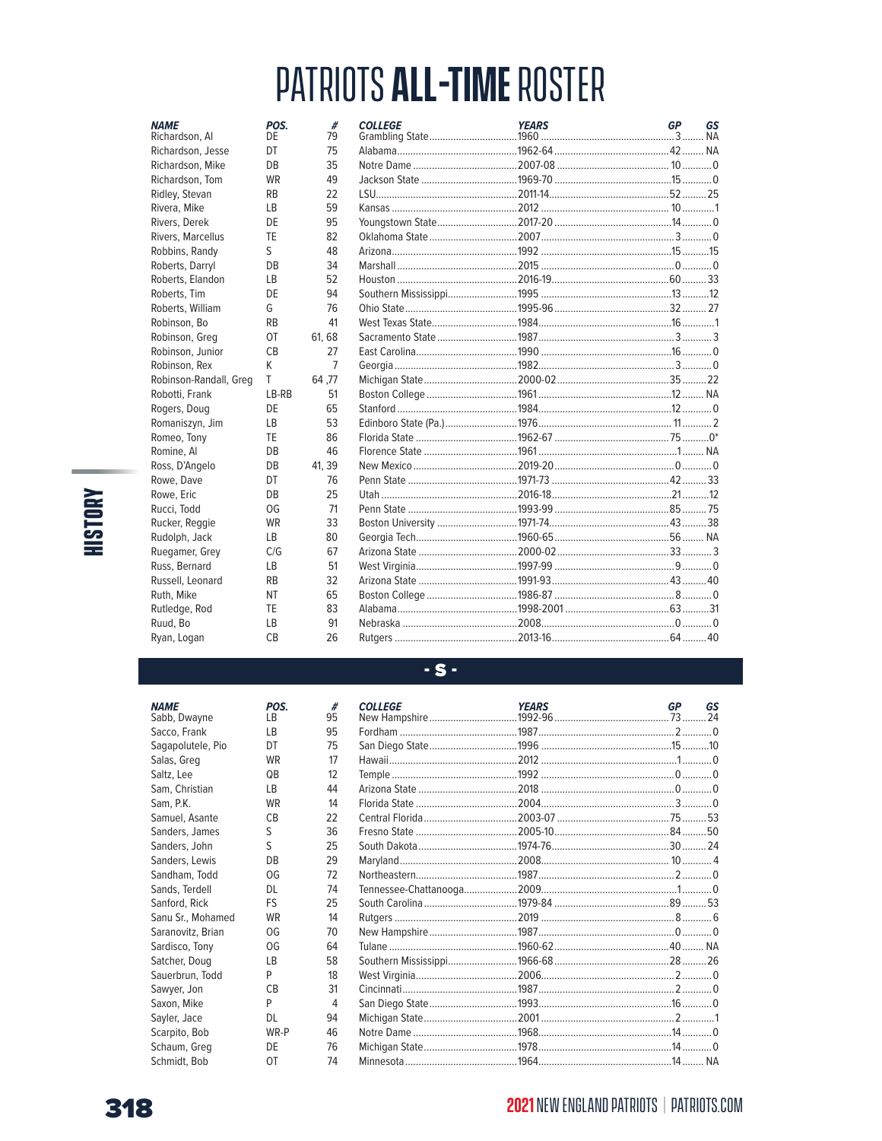| <b>NAME</b><br>Richardson, Al | POS.<br>DE | #<br>79        | <b>COLLEGE</b> | <b>YEARS</b> | <b>GP</b> | GS |
|-------------------------------|------------|----------------|----------------|--------------|-----------|----|
| Richardson, Jesse             | DT         | 75             |                |              |           |    |
| Richardson, Mike              | DB         | 35             |                |              |           |    |
| Richardson, Tom               | <b>WR</b>  | 49             |                |              |           |    |
| Ridley, Stevan                | <b>RB</b>  | 22             |                |              |           |    |
| Rivera, Mike                  | <b>LB</b>  | 59             |                |              |           |    |
| Rivers, Derek                 | DF         | 95             |                |              |           |    |
| Rivers, Marcellus             | TE         | 82             |                |              |           |    |
| Robbins, Randy                | S          | 48             |                |              |           |    |
| Roberts, Darryl               | DB         | 34             |                |              |           |    |
| Roberts, Elandon              | LB         | 52             |                |              |           |    |
| Roberts, Tim                  | DE         | 94             |                |              |           |    |
| Roberts, William              | G          | 76             |                |              |           |    |
| Robinson, Bo                  | <b>RB</b>  | 41             |                |              |           |    |
| Robinson, Greg                | 0T         | 61, 68         |                |              |           |    |
| Robinson, Junior              | CB         | 27             |                |              |           |    |
| Robinson, Rex                 | K          | $\overline{7}$ |                |              |           |    |
| Robinson-Randall, Greg        | T          | 64.77          |                |              |           |    |
| Robotti, Frank                | LB-RB      | 51             |                |              |           |    |
| Rogers, Doug                  | DE         | 65             |                |              |           |    |
| Romaniszyn, Jim               | LB         | 53             |                |              |           |    |
| Romeo, Tony                   | TE         | 86             |                |              |           |    |
| Romine, Al                    | <b>DB</b>  | 46             |                |              |           |    |
| Ross, D'Angelo                | DB         | 41.39          |                |              |           |    |
| Rowe, Dave                    | DT         | 76             |                |              |           |    |
| Rowe, Eric                    | DB         | 25             |                |              |           |    |
| Rucci, Todd                   | OG         | 71             |                |              |           |    |
| Rucker, Reggie                | <b>WR</b>  | 33             |                |              |           |    |
| Rudolph, Jack                 | LB         | 80             |                |              |           |    |
| Ruegamer, Grey                | C/G        | 67             |                |              |           |    |
| Russ, Bernard                 | LB         | 51             |                |              |           |    |
| Russell, Leonard              | <b>RB</b>  | 32             |                |              |           |    |
| Ruth, Mike                    | <b>NT</b>  | 65             |                |              |           |    |
| Rutledge, Rod                 | TE         | 83             |                |              |           |    |
| Ruud, Bo                      | LB         | 91             |                |              |           |    |
| Ryan, Logan                   | CB         | 26             |                |              |           |    |

#### $-S -$

| #<br>95 | <b>COLLEGE</b> | <b>YEARS</b> | GP | GS |
|---------|----------------|--------------|----|----|
| 95      |                |              |    |    |
| 75      |                |              |    |    |
| 17      |                |              |    |    |
| 12      |                |              |    |    |
| 44      |                |              |    |    |
| 14      |                |              |    |    |
| 22      |                |              |    |    |
| 36      |                |              |    |    |
| 25      |                |              |    |    |
| 29      |                |              |    |    |
| 72      |                |              |    |    |
| 74      |                |              |    |    |
| 25      |                |              |    |    |
| 14      |                |              |    |    |
| 70      |                |              |    |    |
| 64      |                |              |    |    |
| 58      |                |              |    |    |
| 18      |                |              |    |    |
| 31      |                |              |    |    |
| 4       |                |              |    |    |
| 94      |                |              |    |    |
| 46      |                |              |    |    |
| 76      |                |              |    |    |
| 74      |                |              |    |    |

**HISTORY** 

Sands, Terdell Sanford, Rick Sanu Sr., Mohamed Saranovitz, Brian Sardisco, Tony Satcher, Doug Sauerbrun, Todd Sawyer, Jon Saxon, Mike Sayler, Jace Scarpito, Bob Schaum, Greg Schmidt, Bob 318

**NAME** 

Sabb, Dwayne

Sacco, Frank

Salas, Greg

Sam, Christian

Samuel, Asante

Sanders, James

Sanders, John Sanders, Lewis

Sandham, Todd

Saltz, Lee

Sam, P.K.

Sagapolutele, Pio

POS.

LB

 $\mathsf{LB}$ 

DT

WR

 $\mathsf{Q}\mathsf{B}$ 

 $LB$ 

WR

 $CB$  $\sf S$ 

 $S$ 

DB

OG

DL

FS

**WR** 

OG

OG

 $\mathsf{LB}$ 

 $P$ 

 $CB$ 

P

DL

DE

OT

WR-P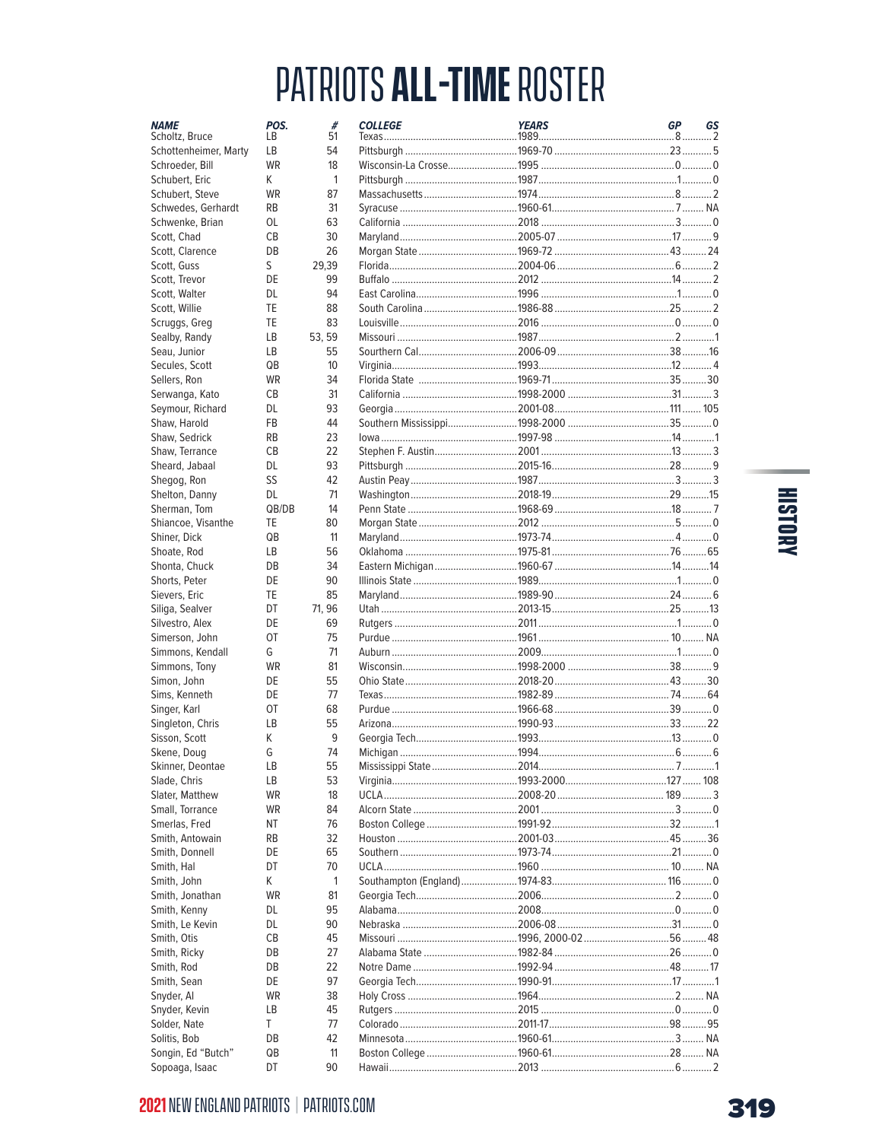| <b>NAME</b><br>Scholtz, Bruce     | POS.<br>LB | #<br>51      | <b>COLLEGE</b> | <b>YEARS</b> | <b>GP</b> | GS<br>2 |
|-----------------------------------|------------|--------------|----------------|--------------|-----------|---------|
| Schottenheimer, Marty             | LB         | 54           |                |              |           |         |
| Schroeder, Bill                   | <b>WR</b>  | 18           |                |              |           |         |
| Schubert, Eric                    | K          | $\mathbf{1}$ |                |              |           |         |
| Schubert, Steve                   | <b>WR</b>  | 87           |                |              |           |         |
| Schwedes, Gerhardt                | <b>RB</b>  | 31           |                |              |           |         |
| Schwenke, Brian                   | OL         | 63           |                |              |           |         |
| Scott, Chad                       | CB         | 30           |                |              |           |         |
| Scott, Clarence                   | DB         | 26           |                |              |           |         |
| Scott, Guss                       | S          | 29,39        |                |              |           |         |
| Scott, Trevor                     | DE         | 99           |                |              |           |         |
| Scott, Walter                     | DL         | 94           |                |              |           |         |
| Scott, Willie                     | TE         | 88           |                |              |           |         |
| Scruggs, Greg                     | TE         | 83           |                |              |           |         |
| Sealby, Randy                     | LB         | 53, 59       |                |              |           |         |
| Seau, Junior                      | LB         | 55           |                |              |           |         |
| Secules, Scott                    | QB         | 10           |                |              |           |         |
| Sellers, Ron                      | <b>WR</b>  | 34           |                |              |           |         |
| Serwanga, Kato                    | СB         | 31           |                |              |           |         |
| Seymour, Richard                  | DL         | 93           |                |              |           |         |
| Shaw, Harold                      | <b>FB</b>  | 44           |                |              |           |         |
| Shaw. Sedrick                     | <b>RB</b>  | 23           |                |              |           |         |
| Shaw, Terrance                    | <b>CB</b>  | 22           |                |              |           |         |
| Sheard, Jabaal                    | <b>DL</b>  | 93           |                |              |           |         |
| Shegog, Ron                       | SS         | 42           |                |              |           |         |
| Shelton, Danny                    | DL.        | 71           |                |              |           |         |
| Sherman, Tom                      | QB/DB      | 14           |                |              |           |         |
| Shiancoe, Visanthe                | TE         | 80           |                |              |           |         |
| Shiner, Dick                      | QB         | 11           |                |              |           |         |
| Shoate, Rod                       | LB         | 56           |                |              |           |         |
| Shonta, Chuck                     | DB         | 34           |                |              |           |         |
| Shorts, Peter                     | DE         | 90           |                |              |           |         |
| Sievers, Eric                     | TE         | 85           |                |              |           |         |
| Siliga, Sealver                   | DT         | 71, 96       |                |              |           |         |
| Silvestro, Alex                   | DE         | 69           |                |              |           |         |
| Simerson, John                    | OT         | 75           |                |              |           |         |
| Simmons, Kendall                  | G          | 71           |                |              |           |         |
| Simmons, Tony                     | <b>WR</b>  | 81           |                |              |           |         |
| Simon, John                       | DE<br>DE   | 55           |                |              |           |         |
| Sims, Kenneth                     | OT         | 77<br>68     |                |              |           |         |
| Singer, Karl                      | <b>LB</b>  | 55           |                |              |           |         |
| Singleton, Chris<br>Sisson, Scott | K          | 9            |                |              |           |         |
|                                   | G          | 74           |                |              |           |         |
| Skene, Doug<br>Skinner, Deontae   | LB         | 55           |                |              |           |         |
| Slade, Chris                      | LB         | 53           |                |              |           |         |
| Slater, Matthew                   | WR         | 18           |                |              |           |         |
| Small, Torrance                   | <b>WR</b>  | 84           |                |              |           |         |
| Smerlas, Fred                     | ΝT         | 76           |                |              |           |         |
| Smith, Antowain                   | <b>RB</b>  | 32           |                |              |           |         |
| Smith, Donnell                    | DE         | 65           |                |              |           |         |
| Smith, Hal                        | DT         | 70           |                |              |           |         |
| Smith, John                       | K          | 1            |                |              |           |         |
| Smith, Jonathan                   | <b>WR</b>  | 81           |                |              |           |         |
| Smith, Kenny                      | DL         | 95           |                |              |           |         |
| Smith, Le Kevin                   | DL         | 90           |                |              |           |         |
| Smith, Otis                       | СB         | 45           |                |              |           |         |
| Smith, Ricky                      | DB         | 27           |                |              |           |         |
| Smith, Rod                        | DB         | 22           |                |              |           |         |
| Smith, Sean                       | DE         | 97           |                |              |           |         |
| Snyder, Al                        | WR         | 38           |                |              |           |         |
| Snyder, Kevin                     | LB         | 45           |                |              |           |         |
| Solder, Nate                      | T          | 77           |                |              |           |         |
| Solitis, Bob                      | DB         | 42           |                |              |           |         |
| Songin, Ed "Butch"                | QB         | 11           |                |              |           |         |
| Cononan Isaac                     | <b>DT</b>  | $\Omega$     | L <sub>2</sub> | 2012         | c.        |         |

# **HISTORY**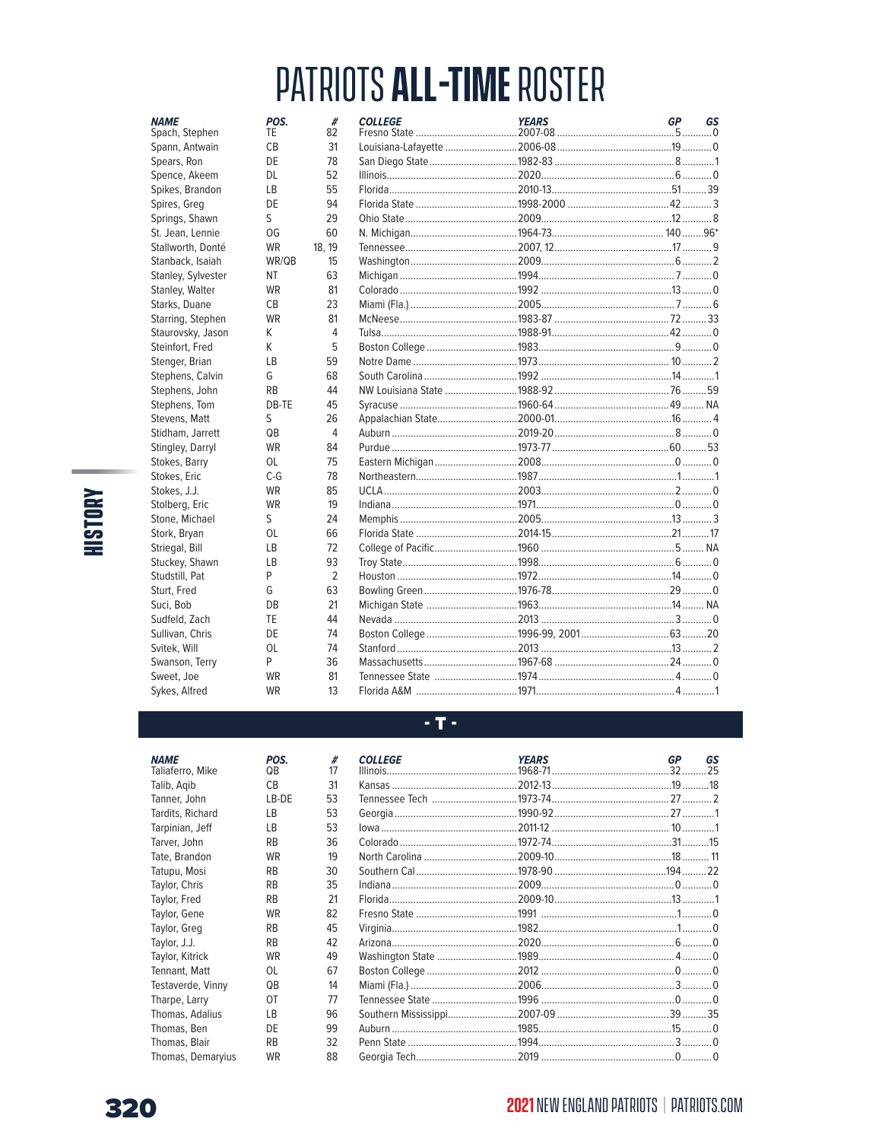| <b>NAME</b><br>Spach, Stephen | POS.<br>TE | #<br>82        | <b>COLLEGE</b> | <b>YEARS</b> | <b>GP</b> | GS |
|-------------------------------|------------|----------------|----------------|--------------|-----------|----|
| Spann, Antwain                | СB         | 31             |                |              |           |    |
| Spears, Ron                   | DE         | 78             |                |              |           |    |
| Spence, Akeem                 | <b>DL</b>  | 52             |                |              |           |    |
| Spikes, Brandon               | <b>LB</b>  | 55             |                |              |           | 39 |
| Spires, Greg                  | DE         | 94             |                |              |           |    |
| Springs, Shawn                | S          | 29             |                |              |           |    |
| St. Jean, Lennie              | OG         | 60             |                |              |           |    |
| Stallworth, Donté             | <b>WR</b>  | 18, 19         |                |              |           |    |
| Stanback, Isaiah              | WR/QB      | 15             |                |              |           |    |
| Stanley, Sylvester            | <b>NT</b>  | 63             |                |              |           |    |
| Stanley, Walter               | <b>WR</b>  | 81             |                |              |           |    |
| Starks, Duane                 | <b>CB</b>  | 23             |                |              |           |    |
| Starring, Stephen             | <b>WR</b>  | 81             |                |              |           |    |
| Staurovsky, Jason             | K          | 4              |                |              |           |    |
| Steinfort, Fred               | K          | 5              |                |              |           |    |
| Stenger, Brian                | <b>LB</b>  | 59             |                |              |           |    |
| Stephens, Calvin              | G          | 68             |                |              |           |    |
| Stephens, John                | <b>RB</b>  | 44             |                |              |           |    |
| Stephens, Tom                 | DB-TE      | 45             |                |              |           |    |
| Stevens, Matt                 | S          | 26             |                |              |           |    |
| Stidham, Jarrett              | QB         | 4              |                |              |           |    |
| Stingley, Darryl              | <b>WR</b>  | 84             |                |              |           | 53 |
| Stokes, Barry                 | 0L         | 75             |                |              |           |    |
| Stokes, Eric                  | $C-G$      | 78             |                |              |           |    |
| Stokes, J.J.                  | <b>WR</b>  | 85             |                |              |           |    |
| Stolberg, Eric                | <b>WR</b>  | 19             |                |              |           |    |
| Stone, Michael                | S          | 24             |                |              |           |    |
| Stork, Bryan                  | OL         | 66             |                |              |           |    |
| Striegal, Bill                | LB         | 72             |                |              |           |    |
| Stuckey, Shawn                | LB         | 93             |                |              |           |    |
| Studstill, Pat                | P          | $\overline{2}$ |                |              |           |    |
| Sturt, Fred                   | G          | 63             |                |              |           |    |
| Suci, Bob                     | DB         | 21             |                |              |           |    |
| Sudfeld, Zach                 | TE         | 44             |                |              |           |    |
| Sullivan, Chris               | DE         | 74             |                |              |           |    |
| Svitek, Will                  | <b>OL</b>  | 74             |                |              |           |    |
| Swanson, Terry                | P          | 36             |                |              |           |    |
| Sweet, Joe                    | <b>WR</b>  | 81             |                |              |           |    |
| Sykes, Alfred                 | <b>WR</b>  | 13             |                |              |           |    |

#### $-$  T  $-$

| #<br>17 | <b>COLLEGE</b> | <b>YEARS</b> | GS<br>GP |
|---------|----------------|--------------|----------|
| 31      |                |              |          |
| 53      |                |              |          |
| 53      |                |              |          |
| 53      |                |              |          |
| 36      |                |              |          |
| 19      |                |              |          |
| 30      |                |              |          |
| 35      |                |              |          |
| 21      |                |              |          |
| 82      |                |              |          |
| 45      |                |              |          |
| 42      |                |              |          |
| 49      |                |              |          |
| 67      |                |              |          |
| 14      |                |              |          |
| 77      |                |              |          |
| 96      |                |              |          |
| 99      |                |              |          |
| 32      |                |              |          |
| 88      |                |              |          |

**HISTORY** 

**NAME** 

Talib, Agib Tanner, John

Taliaferro, Mike

Tardits, Richard

Tarpinian, Jeff

Tarver, John

Tate, Brandon

Tatupu, Mosi

Taylor, Chris

Taylor, Fred

Taylor, Gene

Taylor, Greg

Taylor, Kitrick

Tennant, Matt Testaverde, Vinny

Tharpe, Larry

Thomas, Ben

Thomas, Blair

Thomas, Adalius

Thomas, Demaryius

Taylor, J.J.

POS.

LB-DE

QB  $CB$ 

LB

 $LB$ 

 $RB$ 

WR

 $\mathsf{RB}$ 

 $RB$ 

**RB** 

WR

 $\mathsf{RB}$ 

 $RB$ 

WR

 $OL$ 

 $QB$ 

OT

 $LB$ 

DE

 $RB$ 

**WR** 

320